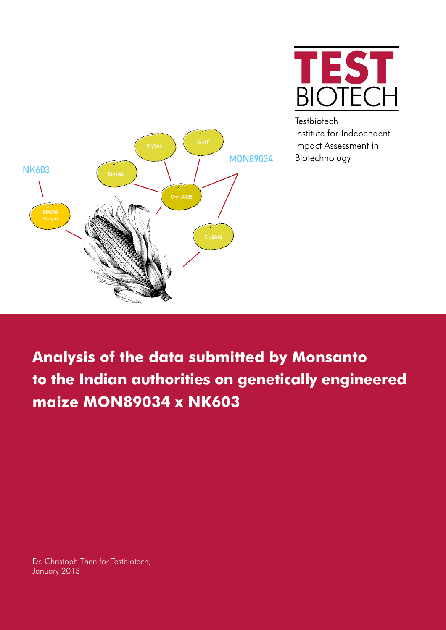

Testbiotech Institute for Independent Impact Assessment in Biotechnology



**Analysis of the data submitted by Monsanto to the Indian authorities on genetically engineered maize MON89034 x NK603** 

Dr. Christoph Then for Testbiotech, January 2013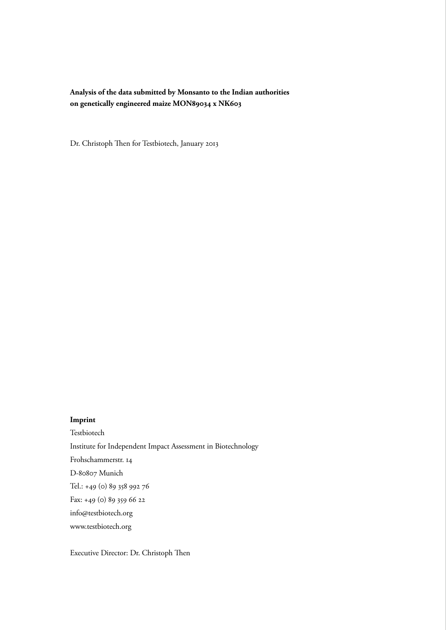**Analysis of the data submitted by Monsanto to the Indian authorities on genetically engineered maize MON89034 x NK603** 

Dr. Christoph Then for Testbiotech, January 2013

### **Imprint**

Testbiotech Institute for Independent Impact Assessment in Biotechnology Frohschammerstr. 14 D-80807 Munich Tel.: +49 (0) 89 358 992 76 Fax: +49 (0) 89 359 66 22 info@testbiotech.org www.testbiotech.org

Executive Director: Dr. Christoph Then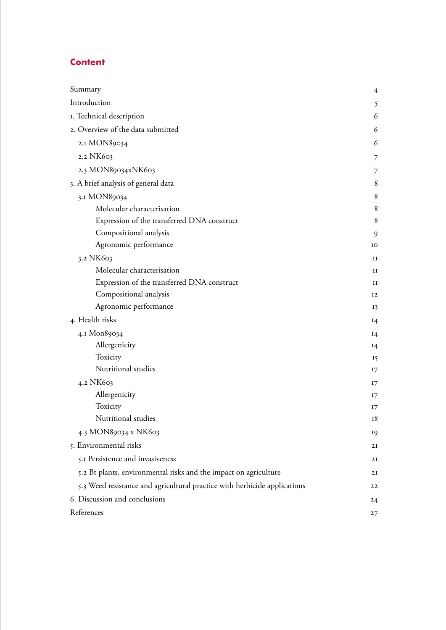# **Content**

| Summary                                                                   | 4  |  |  |
|---------------------------------------------------------------------------|----|--|--|
| Introduction                                                              | 5  |  |  |
| I. Technical description                                                  | 6  |  |  |
| 2. Overview of the data submitted                                         | 6  |  |  |
| 2.I MON89034                                                              | 6  |  |  |
| 2.2 NK603                                                                 | 7  |  |  |
| 2.3 MON89034xNK603                                                        | 7  |  |  |
| 3. A brief analysis of general data                                       | 8  |  |  |
| 3.I MON89034                                                              | 8  |  |  |
| Molecular characterisation                                                | 8  |  |  |
| Expression of the transferred DNA construct                               | 8  |  |  |
| Compositional analysis                                                    | 9  |  |  |
| Agronomic performance                                                     | IO |  |  |
| 3.2 NK603                                                                 | и  |  |  |
| Molecular characterisation                                                | II |  |  |
| Expression of the transferred DNA construct                               | II |  |  |
| Compositional analysis                                                    | 12 |  |  |
| Agronomic performance                                                     | 13 |  |  |
| 4. Health risks                                                           | I4 |  |  |
| 4.1 Mon89034                                                              | 14 |  |  |
| Allergenicity                                                             | 14 |  |  |
| Toxicity                                                                  | 15 |  |  |
| Nutritional studies                                                       | 17 |  |  |
| 4.2 NK603                                                                 | 17 |  |  |
| Allergenicity                                                             | 17 |  |  |
| Toxicity                                                                  | 17 |  |  |
| Nutritional studies                                                       | 18 |  |  |
| 4.3 MON89034 x NK603                                                      | 19 |  |  |
| 5. Environmental risks                                                    | 2I |  |  |
| 5.1 Persistence and invasiveness                                          | 2I |  |  |
| 5.2 Bt plants, environmental risks and the impact on agriculture          | 2Ι |  |  |
| 5.3 Weed resistance and agricultural practice with herbicide applications |    |  |  |
| 6. Discussion and conclusions                                             | 24 |  |  |
| References                                                                | 27 |  |  |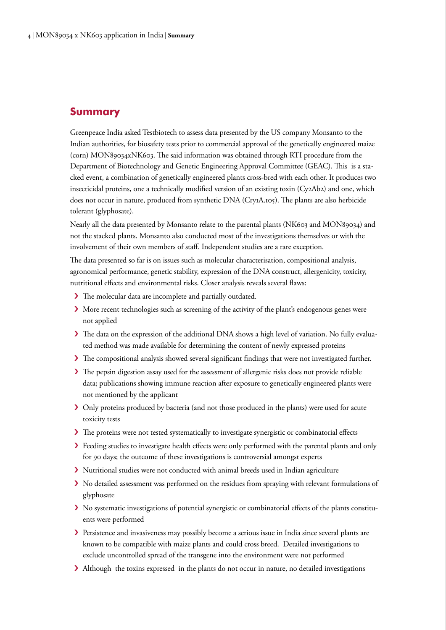## <span id="page-3-0"></span>**Summary**

Greenpeace India asked Testbiotech to assess data presented by the US company Monsanto to the Indian authorities, for biosafety tests prior to commercial approval of the genetically engineered maize (corn) MON89034xNK603. The said information was obtained through RTI procedure from the Department of Biotechnology and Genetic Engineering Approval Committee (GEAC). This is a stacked event, a combination of genetically engineered plants cross-bred with each other. It produces two insecticidal proteins, one a technically modified version of an existing toxin (Cy2Ab2) and one, which does not occur in nature, produced from synthetic DNA (Cry1A.105). The plants are also herbicide tolerant (glyphosate).

Nearly all the data presented by Monsanto relate to the parental plants (NK603 and MON89034) and not the stacked plants. Monsanto also conducted most of the investigations themselves or with the involvement of their own members of staff. Independent studies are a rare exception.

The data presented so far is on issues such as molecular characterisation, compositional analysis, agronomical performance, genetic stability, expression of the DNA construct, allergenicity, toxicity, nutritional effects and environmental risks. Closer analysis reveals several flaws:

- › The molecular data are incomplete and partially outdated.
- › More recent technologies such as screening of the activity of the plant's endogenous genes were not applied
- > The data on the expression of the additional DNA shows a high level of variation. No fully evaluated method was made available for determining the content of newly expressed proteins
- › The compositional analysis showed several significant findings that were not investigated further.
- > The pepsin digestion assay used for the assessment of allergenic risks does not provide reliable data; publications showing immune reaction after exposure to genetically engineered plants were not mentioned by the applicant
- › Only proteins produced by bacteria (and not those produced in the plants) were used for acute toxicity tests
- › The proteins were not tested systematically to investigate synergistic or combinatorial effects
- > Feeding studies to investigate health effects were only performed with the parental plants and only for 90 days; the outcome of these investigations is controversial amongst experts
- › Nutritional studies were not conducted with animal breeds used in Indian agriculture
- > No detailed assessment was performed on the residues from spraying with relevant formulations of glyphosate
- › No systematic investigations of potential synergistic or combinatorial effects of the plants constituents were performed
- > Persistence and invasiveness may possibly become a serious issue in India since several plants are known to be compatible with maize plants and could cross breed. Detailed investigations to exclude uncontrolled spread of the transgene into the environment were not performed
- › Although the toxins expressed in the plants do not occur in nature, no detailed investigations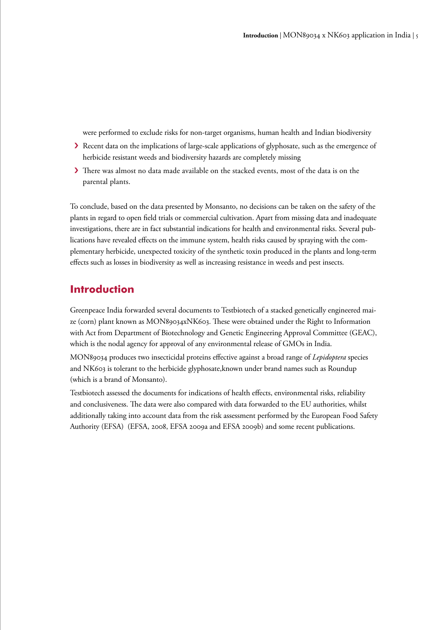<span id="page-4-0"></span>were performed to exclude risks for non-target organisms, human health and Indian biodiversity

- › Recent data on the implications of large-scale applications of glyphosate, such as the emergence of herbicide resistant weeds and biodiversity hazards are completely missing
- › There was almost no data made available on the stacked events, most of the data is on the parental plants.

To conclude, based on the data presented by Monsanto, no decisions can be taken on the safety of the plants in regard to open field trials or commercial cultivation. Apart from missing data and inadequate investigations, there are in fact substantial indications for health and environmental risks. Several publications have revealed effects on the immune system, health risks caused by spraying with the complementary herbicide, unexpected toxicity of the synthetic toxin produced in the plants and long-term effects such as losses in biodiversity as well as increasing resistance in weeds and pest insects.

## **Introduction**

Greenpeace India forwarded several documents to Testbiotech of a stacked genetically engineered maize (corn) plant known as MON89034xNK603. These were obtained under the Right to Information with Act from Department of Biotechnology and Genetic Engineering Approval Committee (GEAC), which is the nodal agency for approval of any environmental release of GMOs in India.

MON89034 produces two insecticidal proteins effective against a broad range of *Lepidoptera* species and NK603 is tolerant to the herbicide glyphosate,known under brand names such as Roundup (which is a brand of Monsanto).

Testbiotech assessed the documents for indications of health effects, environmental risks, reliability and conclusiveness. The data were also compared with data forwarded to the EU authorities, whilst additionally taking into account data from the risk assessment performed by the European Food Safety Authority (EFSA) (EFSA, 2008, EFSA 2009a and EFSA 2009b) and some recent publications.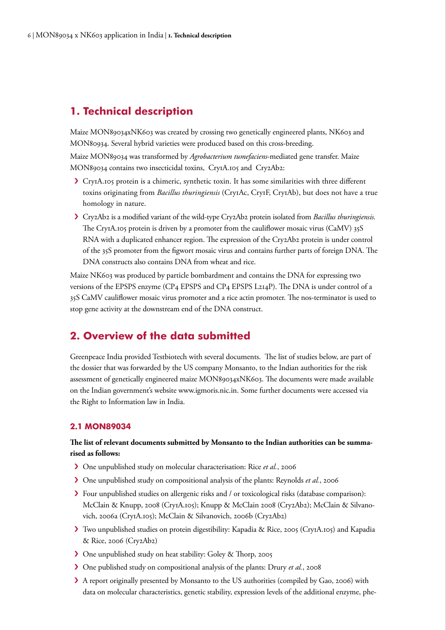# <span id="page-5-0"></span>**1. Technical description**

Maize MON89034xNK603 was created by crossing two genetically engineered plants, NK603 and MON80934. Several hybrid varieties were produced based on this cross-breeding.

Maize MON89034 was transformed by *Agrobacterium tumefaciens*-mediated gene transfer. Maize MON89034 contains two insecticidal toxins, Cry1A.105 and Cry2Ab2:

- › Cry1A.105 protein is a chimeric, synthetic toxin. It has some similarities with three different toxins originating from *Bacillus thuringiensis* (Cry1Ac, Cry1F, Cry1Ab), but does not have a true homology in nature.
- › Cry2Ab2 is a modified variant of the wild-type Cry2Ab2 protein isolated from *Bacillus thuringiensis.* The Cry1A.105 protein is driven by a promoter from the cauliflower mosaic virus (CaMV) 35S RNA with a duplicated enhancer region. The expression of the Cry2Ab2 protein is under control of the 35S promoter from the figwort mosaic virus and contains further parts of foreign DNA. The DNA constructs also contains DNA from wheat and rice.

Maize NK603 was produced by particle bombardment and contains the DNA for expressing two versions of the EPSPS enzyme (CP4 EPSPS and CP4 EPSPS L214P). The DNA is under control of a 35S CaMV cauliflower mosaic virus promoter and a rice actin promoter. The nos-terminator is used to stop gene activity at the downstream end of the DNA construct.

## **2. Overview of the data submitted**

Greenpeace India provided Testbiotech with several documents. The list of studies below, are part of the dossier that was forwarded by the US company Monsanto, to the Indian authorities for the risk assessment of genetically engineered maize MON89034xNK603. The documents were made available on the Indian government's website www.igmoris.nic.in. Some further documents were accessed via the Right to Information law in India.

### **2.1 MON89034**

### **The list of relevant documents submitted by Monsanto to the Indian authorities can be summarised as follows:**

- › One unpublished study on molecular characterisation: Rice *et al.*, 2006
- › One unpublished study on compositional analysis of the plants: Reynolds *et al.*, 2006
- › Four unpublished studies on allergenic risks and / or toxicological risks (database comparison): McClain & Knupp, 2008 (Cry1A.105); Knupp & McClain 2008 (Cry2Ab2); McClain & Silvanovich, 2006a (Cry1A.105); McClain & Silvanovich, 2006b (Cry2Ab2)
- › Two unpublished studies on protein digestibility: Kapadia & Rice, 2005 (Cry1A.105) and Kapadia & Rice, 2006 (Cry2Ab2)
- › One unpublished study on heat stability: Goley & Thorp, 2005
- › One published study on compositional analysis of the plants: Drury *et al.*, 2008
- > A report originally presented by Monsanto to the US authorities (compiled by Gao, 2006) with data on molecular characteristics, genetic stability, expression levels of the additional enzyme, phe-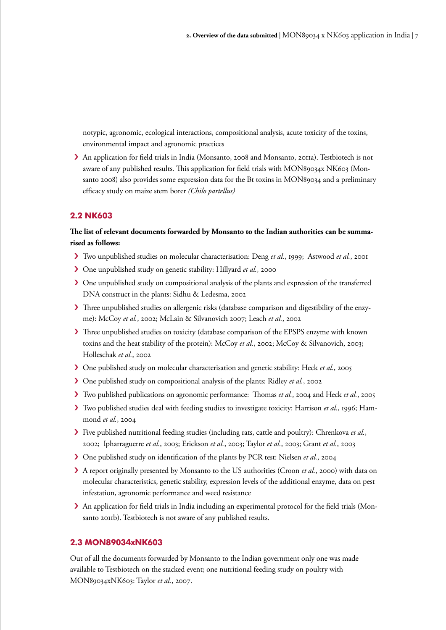<span id="page-6-0"></span>notypic, agronomic, ecological interactions, compositional analysis, acute toxicity of the toxins, environmental impact and agronomic practices

> An application for field trials in India (Monsanto, 2008 and Monsanto, 2011a). Testbiotech is not aware of any published results. This application for field trials with MON89034x NK603 (Monsanto 2008) also provides some expression data for the Bt toxins in MON89034 and a preliminary efficacy study on maize stem borer *(Chilo partellus)*

### **2.2 NK603**

## **The list of relevant documents forwarded by Monsanto to the Indian authorities can be summarised as follows:**

- › Two unpublished studies on molecular characterisation: Deng *et al.*, 1999; Astwood *et al.*, 2001
- › One unpublished study on genetic stability: Hillyard *et al.,* 2000
- › One unpublished study on compositional analysis of the plants and expression of the transferred DNA construct in the plants: Sidhu & Ledesma, 2002
- > Three unpublished studies on allergenic risks (database comparison and digestibility of the enzyme): McCoy *et al.*, 2002; McLain & Silvanovich 2007; Leach *et al.*, 2002
- › Three unpublished studies on toxicity (database comparison of the EPSPS enzyme with known toxins and the heat stability of the protein): McCoy *et al.*, 2002; McCoy & Silvanovich, 2003; Holleschak *et al.*, 2002
- › One published study on molecular characterisation and genetic stability: Heck *et al.*, 2005
- › One published study on compositional analysis of the plants: Ridley *et al.*, 2002
- › Two published publications on agronomic performance: Thomas *et al.*, 2004 and Heck *et al.*, 2005
- › Two published studies deal with feeding studies to investigate toxicity: Harrison *et al.*, 1996; Hammond *et al.*, 2004
- › Five published nutritional feeding studies (including rats, cattle and poultry): Chrenkova *et al.*, 2002; Ipharraguerre *et al.*, 2003; Erickson *et al.*, 2003; Taylor *et al.*, 2003; Grant *et al.*, 2003
- › One published study on identification of the plants by PCR test: Nielsen *et al.*, 2004
- › A report originally presented by Monsanto to the US authorities (Croon *et al.*, 2000) with data on molecular characteristics, genetic stability, expression levels of the additional enzyme, data on pest infestation, agronomic performance and weed resistance
- › An application for field trials in India including an experimental protocol for the field trials (Monsanto 2011b). Testbiotech is not aware of any published results.

### **2.3 MON89034xNK603**

Out of all the documents forwarded by Monsanto to the Indian government only one was made available to Testbiotech on the stacked event; one nutritional feeding study on poultry with MON89034xNK603: Taylor *et al.*, 2007.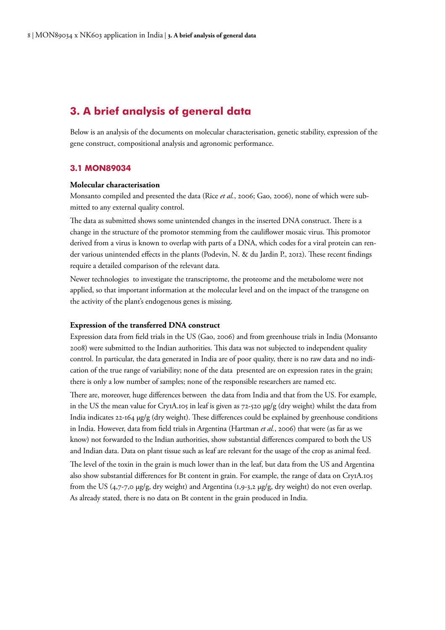# <span id="page-7-0"></span>**3. A brief analysis of general data**

Below is an analysis of the documents on molecular characterisation, genetic stability, expression of the gene construct, compositional analysis and agronomic performance.

### **3.1 MON89034**

### **Molecular characterisation**

Monsanto compiled and presented the data (Rice *et al.*, 2006; Gao, 2006), none of which were submitted to any external quality control.

The data as submitted shows some unintended changes in the inserted DNA construct. There is a change in the structure of the promotor stemming from the cauliflower mosaic virus. This promotor derived from a virus is known to overlap with parts of a DNA, which codes for a viral protein can render various unintended effects in the plants (Podevin, N. & du Jardin P., 2012). These recent findings require a detailed comparison of the relevant data.

Newer technologies to investigate the transcriptome, the proteome and the metabolome were not applied, so that important information at the molecular level and on the impact of the transgene on the activity of the plant's endogenous genes is missing.

#### **Expression of the transferred DNA construct**

Expression data from field trials in the US (Gao, 2006) and from greenhouse trials in India (Monsanto 2008) were submitted to the Indian authorities. This data was not subjected to independent quality control. In particular, the data generated in India are of poor quality, there is no raw data and no indication of the true range of variability; none of the data presented are on expression rates in the grain; there is only a low number of samples; none of the responsible researchers are named etc.

There are, moreover, huge differences between the data from India and that from the US. For example, in the US the mean value for Cry1A.105 in leaf is given as 72-520 µg/g (dry weight) whilst the data from India indicates 22-164 µg/g (dry weight). These differences could be explained by greenhouse conditions in India. However, data from field trials in Argentina (Hartman *et al.*, 2006) that were (as far as we know) not forwarded to the Indian authorities, show substantial differences compared to both the US and Indian data. Data on plant tissue such as leaf are relevant for the usage of the crop as animal feed.

The level of the toxin in the grain is much lower than in the leaf, but data from the US and Argentina also show substantial differences for Bt content in grain. For example, the range of data on Cry1A.105 from the US (4,7-7,0 µg/g, dry weight) and Argentina (1,9-3,2 µg/g, dry weight) do not even overlap. As already stated, there is no data on Bt content in the grain produced in India.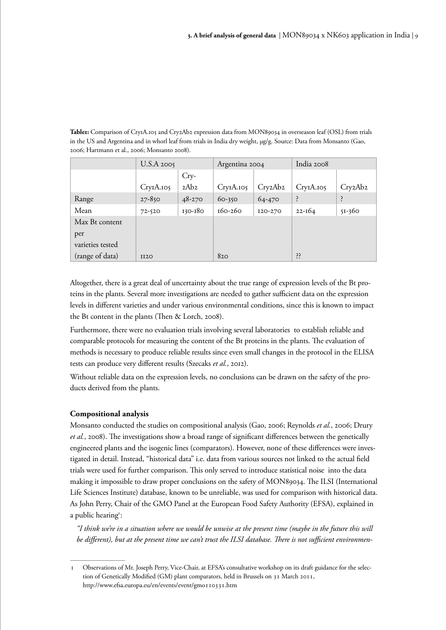<span id="page-8-0"></span>**Table1:** Comparison of Cry1A.105 and Cry2Ab2 expression data from MON89034 in overseason leaf (OSL) from trials in the US and Argentina and in whorl leaf from trials in India dry weight, µg/g. Source: Data from Monsanto (Gao, 2006; Hartmann et al., 2006; Monsanto 2008).

|                  | U.S.A.2005             |                  | Argentina 2004 |         | India 2008             |          |
|------------------|------------------------|------------------|----------------|---------|------------------------|----------|
|                  |                        | $Cry-$           |                |         |                        |          |
|                  | Cry <sub>1</sub> A.105 | 2Ab <sub>2</sub> | CryIA.IO5      | Cry2Ab2 | Cry <sub>1</sub> A.105 | Cry2Ab2  |
| Range            | 27-850                 | $48 - 270$       | $60 - 350$     | 64-470  | ς                      | ?        |
| Mean             | $72 - 520$             | 130-180          | $160 - 260$    | 120-270 | $22 - 164$             | $51-360$ |
| Max Bt content   |                        |                  |                |         |                        |          |
| per              |                        |                  |                |         |                        |          |
| varieties tested |                        |                  |                |         |                        |          |
| (range of data)  | <b>II20</b>            |                  | 820            |         | خ:<br>`                |          |

Altogether, there is a great deal of uncertainty about the true range of expression levels of the Bt proteins in the plants. Several more investigations are needed to gather sufficient data on the expression levels in different varieties and under various environmental conditions, since this is known to impact the Bt content in the plants (Then & Lorch, 2008).

Furthermore, there were no evaluation trials involving several laboratories to establish reliable and comparable protocols for measuring the content of the Bt proteins in the plants. The evaluation of methods is necessary to produce reliable results since even small changes in the protocol in the ELISA tests can produce very different results (Szecaks *et al.*, 2012).

Without reliable data on the expression levels, no conclusions can be drawn on the safety of the products derived from the plants.

## **Compositional analysis**

Monsanto conducted the studies on compositional analysis (Gao, 2006; Reynolds *et al.*, 2006; Drury *et al.*, 2008). The investigations show a broad range of significant differences between the genetically engineered plants and the isogenic lines (comparators). However, none of these differences were investigated in detail. Instead, "historical data" i.e. data from various sources not linked to the actual field trials were used for further comparison. This only served to introduce statistical noise into the data making it impossible to draw proper conclusions on the safety of MON89034. The ILSI (International Life Sciences Institute) database, known to be unreliable, was used for comparison with historical data. As John Perry, Chair of the GMO Panel at the European Food Safety Authority (EFSA), explained in a public hearing<sup>1</sup>:

*"I think we're in a situation where we would be unwise at the present time (maybe in the future this will be different), but at the present time we can't trust the ILSI database. There is not sufficient environmen-*

<sup>1</sup> Observations of Mr. Joseph Perry, Vice-Chair, at EFSA's consultative workshop on its draft guidance for the selection of Genetically Modified (GM) plant comparators, held in Brussels on 31 March 2011, http://www.efsa.europa.eu/en/events/event/gmo110331.htm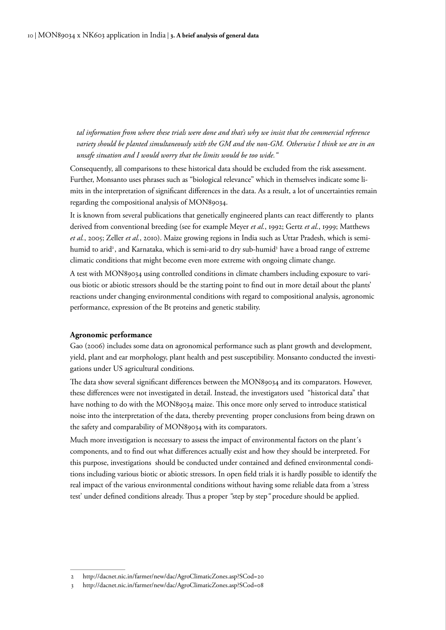<span id="page-9-0"></span>*tal information from where these trials were done and that's why we insist that the commercial reference variety should be planted simultaneously with the GM and the non-GM. Otherwise I think we are in an unsafe situation and I would worry that the limits would be too wide."*

Consequently, all comparisons to these historical data should be excluded from the risk assessment. Further, Monsanto uses phrases such as "biological relevance" which in themselves indicate some limits in the interpretation of significant differences in the data. As a result, a lot of uncertainties remain regarding the compositional analysis of MON89034.

It is known from several publications that genetically engineered plants can react differently to plants derived from conventional breeding (see for example Meyer *et al.*, 1992; Gertz *et al.*, 1999; Matthews *et al.*, 2005; Zeller *et al.*, 2010). Maize growing regions in India such as Uttar Pradesh, which is semihumid to arid<sup>2</sup>, and Karnataka, which is semi-arid to dry sub-humid<sup>3</sup> have a broad range of extreme climatic conditions that might become even more extreme with ongoing climate change.

A test with MON89034 using controlled conditions in climate chambers including exposure to various biotic or abiotic stressors should be the starting point to find out in more detail about the plants' reactions under changing environmental conditions with regard to compositional analysis, agronomic performance, expression of the Bt proteins and genetic stability.

#### **Agronomic performance**

Gao (2006) includes some data on agronomical performance such as plant growth and development, yield, plant and ear morphology, plant health and pest susceptibility. Monsanto conducted the investigations under US agricultural conditions.

The data show several significant differences between the MON89034 and its comparators. However, these differences were not investigated in detail. Instead, the investigators used "historical data" that have nothing to do with the MON89034 maize. This once more only served to introduce statistical noise into the interpretation of the data, thereby preventing proper conclusions from being drawn on the safety and comparability of MON89034 with its comparators.

Much more investigation is necessary to assess the impact of environmental factors on the plant's components, and to find out what differences actually exist and how they should be interpreted. For this purpose, investigations should be conducted under contained and defined environmental conditions including various biotic or abiotic stressors. In open field trials it is hardly possible to identify the real impact of the various environmental conditions without having some reliable data from a 'stress test' under defined conditions already. Thus a proper *"*step by step*"* procedure should be applied.

<sup>2</sup> http://dacnet.nic.in/farmer/new/dac/AgroClimaticZones.asp?SCod=20

<sup>3</sup> http://dacnet.nic.in/farmer/new/dac/AgroClimaticZones.asp?SCod=08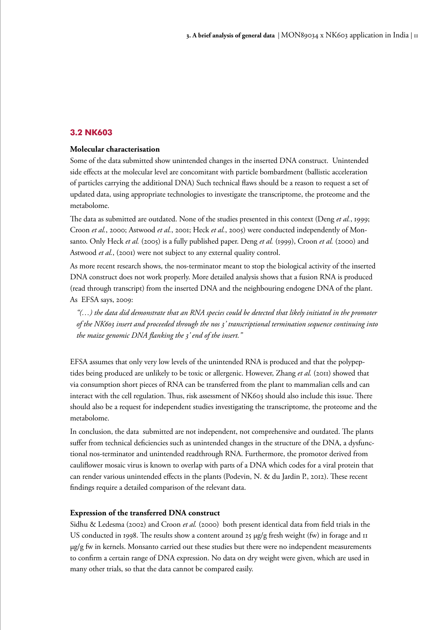## <span id="page-10-0"></span>**3.2 NK603**

#### **Molecular characterisation**

Some of the data submitted show unintended changes in the inserted DNA construct. Unintended side effects at the molecular level are concomitant with particle bombardment (ballistic acceleration of particles carrying the additional DNA) Such technical flaws should be a reason to request a set of updated data, using appropriate technologies to investigate the transcriptome, the proteome and the metabolome.

The data as submitted are outdated. None of the studies presented in this context (Deng *et al.*, 1999; Croon *et al.*, 2000; Astwood *et al.*, 2001; Heck *et al.*, 2005) were conducted independently of Monsanto. Only Heck *et al.* (2005) is a fully published paper. Deng *et al.* (1999), Croon *et al.* (2000) and Astwood *et al.*, (2001) were not subject to any external quality control.

As more recent research shows, the nos-terminator meant to stop the biological activity of the inserted DNA construct does not work properly. More detailed analysis shows that a fusion RNA is produced (read through transcript) from the inserted DNA and the neighbouring endogene DNA of the plant. As EFSA says, 2009:

*"(…) the data did demonstrate that an RNA species could be detected that likely initiated in the promoter of the NK603 insert and proceeded through the nos 3' transcriptional termination sequence continuing into the maize genomic DNA flanking the 3' end of the insert."* 

EFSA assumes that only very low levels of the unintended RNA is produced and that the polypeptides being produced are unlikely to be toxic or allergenic. However, Zhang et al. (2011) showed that via consumption short pieces of RNA can be transferred from the plant to mammalian cells and can interact with the cell regulation. Thus, risk assessment of NK603 should also include this issue. There should also be a request for independent studies investigating the transcriptome, the proteome and the metabolome.

In conclusion, the data submitted are not independent, not comprehensive and outdated. The plants suffer from technical deficiencies such as unintended changes in the structure of the DNA, a dysfunctional nos-terminator and unintended readthrough RNA. Furthermore, the promotor derived from cauliflower mosaic virus is known to overlap with parts of a DNA which codes for a viral protein that can render various unintended effects in the plants (Podevin, N. & du Jardin P., 2012). These recent findings require a detailed comparison of the relevant data.

### **Expression of the transferred DNA construct**

Sidhu & Ledesma (2002) and Croon *et al.* (2000) both present identical data from field trials in the US conducted in 1998. The results show a content around 25 µg/g fresh weight (fw) in forage and 11  $\mu$ g/g fw in kernels. Monsanto carried out these studies but there were no independent measurements to confirm a certain range of DNA expression. No data on dry weight were given, which are used in many other trials, so that the data cannot be compared easily.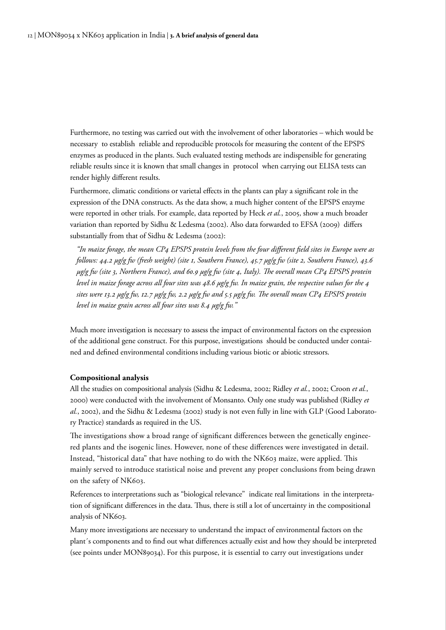<span id="page-11-0"></span>Furthermore, no testing was carried out with the involvement of other laboratories – which would be necessary to establish reliable and reproducible protocols for measuring the content of the EPSPS enzymes as produced in the plants. Such evaluated testing methods are indispensible for generating reliable results since it is known that small changes in protocol when carrying out ELISA tests can render highly different results.

Furthermore, climatic conditions or varietal effects in the plants can play a significant role in the expression of the DNA constructs. As the data show, a much higher content of the EPSPS enzyme were reported in other trials. For example, data reported by Heck *et al.*, 2005, show a much broader variation than reported by Sidhu & Ledesma (2002). Also data forwarded to EFSA (2009) differs substantially from that of Sidhu & Ledesma (2002):

*"In maize forage, the mean CP4 EPSPS protein levels from the four different field sites in Europe were as follows: 44.2 μg/g fw (fresh weight) (site 1, Southern France), 45.7 μg/g fw (site 2, Southern France), 43.6 μg/g fw (site 3, Northern France), and 60.9 μg/g fw (site 4, Italy). The overall mean CP4 EPSPS protein level in maize forage across all four sites was 48.6 μg/g fw. In maize grain, the respective values for the 4 sites were 13.2 μg/g fw, 12.7 μg/g fw, 2.2 μg/g fw and 5.5 μg/g fw. The overall mean CP4 EPSPS protein level in maize grain across all four sites was 8.4 μg/g fw."* 

Much more investigation is necessary to assess the impact of environmental factors on the expression of the additional gene construct. For this purpose, investigations should be conducted under contained and defined environmental conditions including various biotic or abiotic stressors.

#### **Compositional analysis**

All the studies on compositional analysis (Sidhu & Ledesma, 2002; Ridley *et al.*, 2002; Croon *et al.*, 2000) were conducted with the involvement of Monsanto. Only one study was published (Ridley *et al.*, 2002), and the Sidhu & Ledesma (2002) study is not even fully in line with GLP (Good Laboratory Practice) standards as required in the US.

The investigations show a broad range of significant differences between the genetically engineered plants and the isogenic lines. However, none of these differences were investigated in detail. Instead, "historical data" that have nothing to do with the NK603 maize, were applied. This mainly served to introduce statistical noise and prevent any proper conclusions from being drawn on the safety of NK603.

References to interpretations such as "biological relevance" indicate real limitations in the interpretation of significant differences in the data. Thus, there is still a lot of uncertainty in the compositional analysis of NK603.

Many more investigations are necessary to understand the impact of environmental factors on the plant´s components and to find out what differences actually exist and how they should be interpreted (see points under MON89034). For this purpose, it is essential to carry out investigations under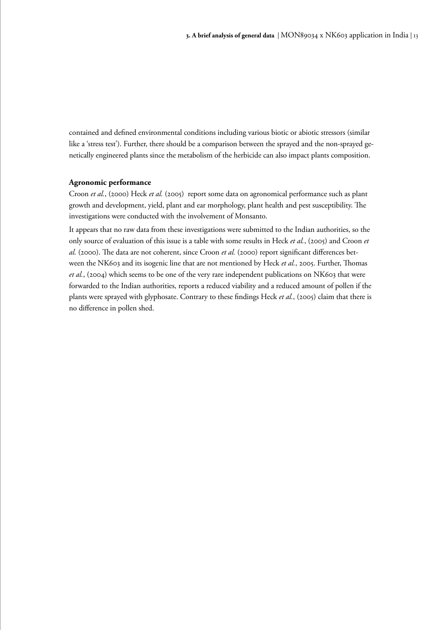<span id="page-12-0"></span>contained and defined environmental conditions including various biotic or abiotic stressors (similar like a 'stress test'). Further, there should be a comparison between the sprayed and the non-sprayed genetically engineered plants since the metabolism of the herbicide can also impact plants composition.

#### **Agronomic performance**

Croon *et al.*, (2000) Heck *et al.* (2005) report some data on agronomical performance such as plant growth and development, yield, plant and ear morphology, plant health and pest susceptibility. The investigations were conducted with the involvement of Monsanto.

It appears that no raw data from these investigations were submitted to the Indian authorities, so the only source of evaluation of this issue is a table with some results in Heck *et al.*, (2005) and Croon *et al.* (2000). The data are not coherent, since Croon *et al.* (2000) report significant differences between the NK603 and its isogenic line that are not mentioned by Heck *et al.*, 2005. Further, Thomas *et al.*, (2004) which seems to be one of the very rare independent publications on NK603 that were forwarded to the Indian authorities, reports a reduced viability and a reduced amount of pollen if the plants were sprayed with glyphosate. Contrary to these findings Heck *et al.*, (2005) claim that there is no difference in pollen shed.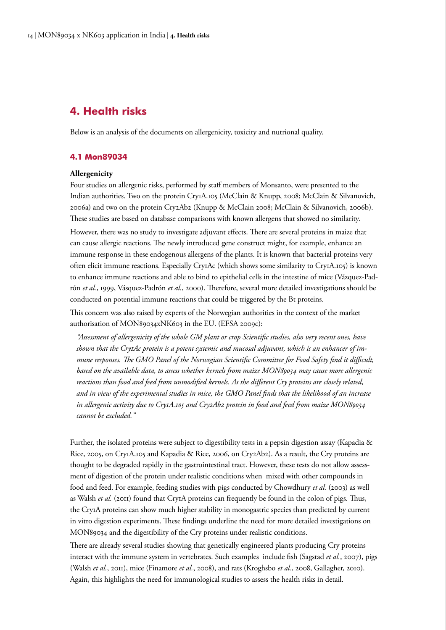## <span id="page-13-0"></span>**4. Health risks**

Below is an analysis of the documents on allergenicity, toxicity and nutrional quality.

### **4.1 Mon89034**

#### **Allergenicity**

Four studies on allergenic risks, performed by staff members of Monsanto, were presented to the Indian authorities. Two on the protein Cry1A.105 (McClain & Knupp, 2008; McClain & Silvanovich, 2006a) and two on the protein Cry2Ab2 (Knupp & McClain 2008; McClain & Silvanovich, 2006b). These studies are based on database comparisons with known allergens that showed no similarity.

However, there was no study to investigate adjuvant effects. There are several proteins in maize that can cause allergic reactions. The newly introduced gene construct might, for example, enhance an immune response in these endogenous allergens of the plants. It is known that bacterial proteins very often elicit immune reactions. Especially Cry1Ac (which shows some similarity to Cry1A.105) is known to enhance immune reactions and able to bind to epithelial cells in the intestine of mice (Vázquez-Padrón *et al.*, 1999, Vásquez‐Padrón *et al.*, 2000). Therefore, several more detailed investigations should be conducted on potential immune reactions that could be triggered by the Bt proteins.

This concern was also raised by experts of the Norwegian authorities in the context of the market authorisation of MON89034xNK603 in the EU. (EFSA 2009c):

*"Assessment of allergenicity of the whole GM plant or crop Scientific studies, also very recent ones, have shown that the Cry1Ac protein is a potent systemic and mucosal adjuvant, which is an enhancer of immune responses. The GMO Panel of the Norwegian Scientific Committee for Food Safety find it difficult, based on the available data, to assess whether kernels from maize MON89034 may cause more allergenic reactions than food and feed from unmodified kernels. As the different Cry proteins are closely related, and in view of the experimental studies in mice, the GMO Panel finds that the likelihood of an increase in allergenic activity due to Cry1A.105 and Cry2Ab2 protein in food and feed from maize MON89034 cannot be excluded."* 

Further, the isolated proteins were subject to digestibility tests in a pepsin digestion assay (Kapadia & Rice, 2005, on Cry1A.105 and Kapadia & Rice, 2006, on Cry2Ab2). As a result, the Cry proteins are thought to be degraded rapidly in the gastrointestinal tract. However, these tests do not allow assessment of digestion of the protein under realistic conditions when mixed with other compounds in food and feed. For example, feeding studies with pigs conducted by Chowdhury *et al.* (2003) as well as Walsh *et al.* (2011) found that Cry1A proteins can frequently be found in the colon of pigs. Thus, the Cry1A proteins can show much higher stability in monogastric species than predicted by current in vitro digestion experiments. These findings underline the need for more detailed investigations on MON89034 and the digestibility of the Cry proteins under realistic conditions.

There are already several studies showing that genetically engineered plants producing Cry proteins interact with the immune system in vertebrates. Such examples include fish (Sagstad *et al.*, 2007), pigs (Walsh *et al.*, 2011), mice (Finamore *et al.*, 2008), and rats (Kroghsbo *et al.*, 2008, Gallagher, 2010). Again, this highlights the need for immunological studies to assess the health risks in detail.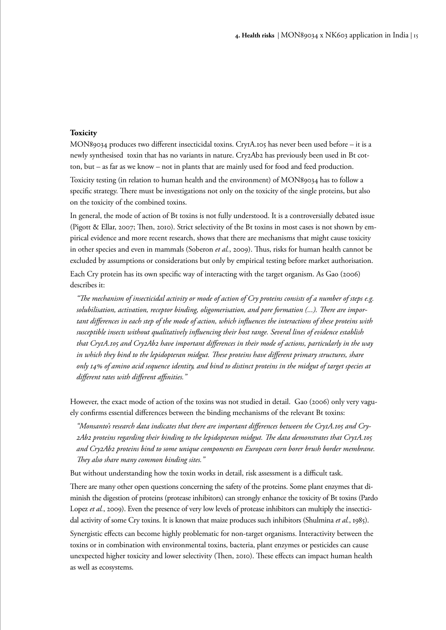#### <span id="page-14-0"></span>**Toxicity**

MON89034 produces two different insecticidal toxins. Cry1A.105 has never been used before – it is a newly synthesised toxin that has no variants in nature. Cry2Ab2 has previously been used in Bt cotton, but – as far as we know – not in plants that are mainly used for food and feed production.

Toxicity testing (in relation to human health and the environment) of MON89034 has to follow a specific strategy. There must be investigations not only on the toxicity of the single proteins, but also on the toxicity of the combined toxins.

In general, the mode of action of Bt toxins is not fully understood. It is a controversially debated issue (Pigott & Ellar, 2007; Then, 2010). Strict selectivity of the Bt toxins in most cases is not shown by empirical evidence and more recent research, shows that there are mechanisms that might cause toxicity in other species and even in mammals (Soberon *et al.*, 2009). Thus, risks for human health cannot be excluded by assumptions or considerations but only by empirical testing before market authorisation. Each Cry protein has its own specific way of interacting with the target organism. As Gao (2006) describes it:

*"The mechanism of insecticidal activity or mode of action of Cry proteins consists of a number of steps e.g. solubilisation, activation, receptor binding, oligomerisation, and pore formation (...). There are important differences in each step of the mode of action, which influences the interactions of these proteins with susceptible insects without qualitatively influencing their host range. Several lines of evidence establish that Cry1A.105 and Cry2Ab2 have important differences in their mode of actions, particularly in the way in which they bind to the lepidopteran midgut. These proteins have different primary structures, share only 14% of amino acid sequence identity, and bind to distinct proteins in the midgut of target species at different rates with different affinities."* 

However, the exact mode of action of the toxins was not studied in detail. Gao (2006) only very vaguely confirms essential differences between the binding mechanisms of the relevant Bt toxins:

*"Monsanto's research data indicates that there are important differences between the Cry1A.105 and Cry-2Ab2 proteins regarding their binding to the lepidopteran midgut. The data demonstrates that Cry1A.105 and Cry2Ab2 proteins bind to some unique components on European corn borer brush border membrane. They also share many common binding sites."*

But without understanding how the toxin works in detail, risk assessment is a difficult task.

There are many other open questions concerning the safety of the proteins. Some plant enzymes that diminish the digestion of proteins (protease inhibitors) can strongly enhance the toxicity of Bt toxins (Pardo Lopez *et al.*, 2009). Even the presence of very low levels of protease inhibitors can multiply the insecticidal activity of some Cry toxins. It is known that maize produces such inhibitors (Shulmina *et al.*, 1985).

Synergistic effects can become highly problematic for non-target organisms. Interactivity between the toxins or in combination with environmental toxins, bacteria, plant enzymes or pesticides can cause unexpected higher toxicity and lower selectivity (Then, 2010). These effects can impact human health as well as ecosystems.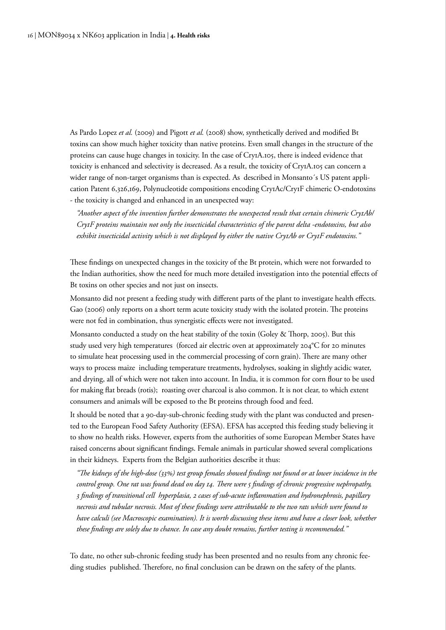As Pardo Lopez *et al.* (2009) and Pigott *et al.* (2008) show, synthetically derived and modified Bt toxins can show much higher toxicity than native proteins. Even small changes in the structure of the proteins can cause huge changes in toxicity. In the case of Cry1A.105, there is indeed evidence that toxicity is enhanced and selectivity is decreased. As a result, the toxicity of Cry1A.105 can concern a wider range of non-target organisms than is expected. As described in Monsanto´s US patent application Patent 6,326,169, Polynucleotide compositions encoding Cry1Ac/Cry1F chimeric O-endotoxins - the toxicity is changed and enhanced in an unexpected way:

*"Another aspect of the invention further demonstrates the unexpected result that certain chimeric Cry1Ab/ Cry1F proteins maintain not only the insecticidal characteristics of the parent delta -endotoxins, but also exhibit insecticidal activity which is not displayed by either the native Cry1Ab or Cry1F endotoxins."* 

These findings on unexpected changes in the toxicity of the Bt protein, which were not forwarded to the Indian authorities, show the need for much more detailed investigation into the potential effects of Bt toxins on other species and not just on insects.

Monsanto did not present a feeding study with different parts of the plant to investigate health effects. Gao (2006) only reports on a short term acute toxicity study with the isolated protein. The proteins were not fed in combination, thus synergistic effects were not investigated.

Monsanto conducted a study on the heat stability of the toxin (Goley & Thorp, 2005). But this study used very high temperatures (forced air electric oven at approximately 204°C for 20 minutes to simulate heat processing used in the commercial processing of corn grain). There are many other ways to process maize including temperature treatments, hydrolyses, soaking in slightly acidic water, and drying, all of which were not taken into account. In India, it is common for corn flour to be used for making flat breads (rotis); roasting over charcoal is also common. It is not clear, to which extent consumers and animals will be exposed to the Bt proteins through food and feed.

It should be noted that a 90-day-sub-chronic feeding study with the plant was conducted and presented to the European Food Safety Authority (EFSA). EFSA has accepted this feeding study believing it to show no health risks. However, experts from the authorities of some European Member States have raised concerns about significant findings. Female animals in particular showed several complications in their kidneys. Experts from the Belgian authorities describe it thus:

*"The kidneys of the high-dose (33%) test group females showed findings not found or at lower incidence in the control group. One rat was found dead on day 14. There were 5 findings of chronic progressive nephropathy, 3 findings of transitional cell hyperplasia, 2 cases of sub-acute inflammation and hydronephrosis, papillary necrosis and tubular necrosis. Most of these findings were attributable to the two rats which were found to have calculi (see Macroscopic examination). It is worth discussing these items and have a closer look, whether these findings are solely due to chance. In case any doubt remains, further testing is recommended."*

To date, no other sub-chronic feeding study has been presented and no results from any chronic feeding studies published. Therefore, no final conclusion can be drawn on the safety of the plants.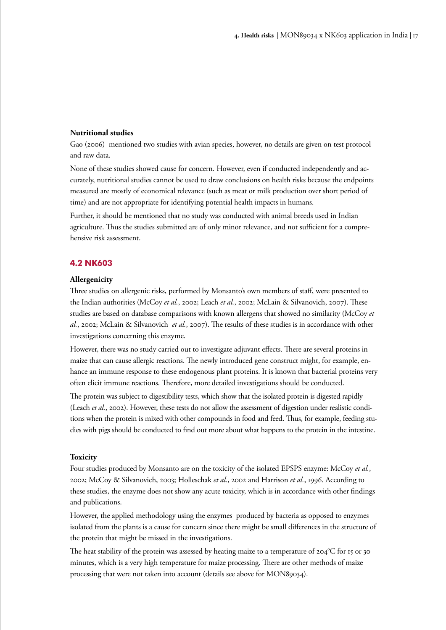#### <span id="page-16-0"></span>**Nutritional studies**

Gao (2006) mentioned two studies with avian species, however, no details are given on test protocol and raw data.

None of these studies showed cause for concern. However, even if conducted independently and accurately, nutritional studies cannot be used to draw conclusions on health risks because the endpoints measured are mostly of economical relevance (such as meat or milk production over short period of time) and are not appropriate for identifying potential health impacts in humans.

Further, it should be mentioned that no study was conducted with animal breeds used in Indian agriculture. Thus the studies submitted are of only minor relevance, and not sufficient for a comprehensive risk assessment.

#### **4.2 NK603**

#### **Allergenicity**

Three studies on allergenic risks, performed by Monsanto's own members of staff, were presented to the Indian authorities (McCoy *et al.*, 2002; Leach *et al.*, 2002; McLain & Silvanovich, 2007). These studies are based on database comparisons with known allergens that showed no similarity (McCoy *et al.*, 2002; McLain & Silvanovich *et al.*, 2007). The results of these studies is in accordance with other investigations concerning this enzyme.

However, there was no study carried out to investigate adjuvant effects. There are several proteins in maize that can cause allergic reactions. The newly introduced gene construct might, for example, enhance an immune response to these endogenous plant proteins. It is known that bacterial proteins very often elicit immune reactions. Therefore, more detailed investigations should be conducted.

The protein was subject to digestibility tests, which show that the isolated protein is digested rapidly (Leach *et al.*, 2002). However, these tests do not allow the assessment of digestion under realistic conditions when the protein is mixed with other compounds in food and feed. Thus, for example, feeding studies with pigs should be conducted to find out more about what happens to the protein in the intestine.

#### **Toxicity**

Four studies produced by Monsanto are on the toxicity of the isolated EPSPS enzyme: McCoy *et al.*, 2002; McCoy & Silvanovich, 2003; Holleschak *et al.*, 2002 and Harrison *et al.*, 1996. According to these studies, the enzyme does not show any acute toxicity, which is in accordance with other findings and publications.

However, the applied methodology using the enzymes produced by bacteria as opposed to enzymes isolated from the plants is a cause for concern since there might be small differences in the structure of the protein that might be missed in the investigations.

The heat stability of the protein was assessed by heating maize to a temperature of 204°C for 15 or 30 minutes, which is a very high temperature for maize processing. There are other methods of maize processing that were not taken into account (details see above for MON89034).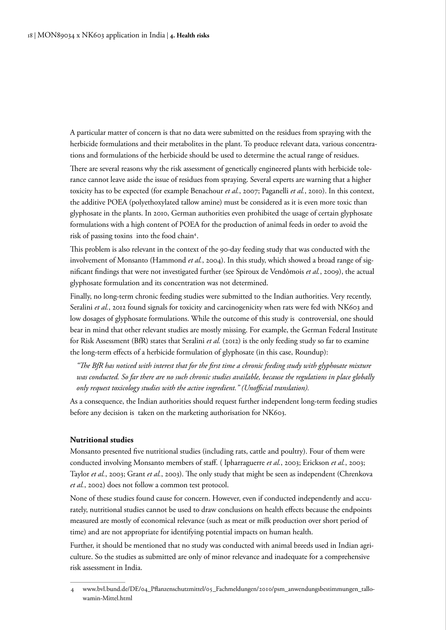<span id="page-17-0"></span>A particular matter of concern is that no data were submitted on the residues from spraying with the herbicide formulations and their metabolites in the plant. To produce relevant data, various concentrations and formulations of the herbicide should be used to determine the actual range of residues.

There are several reasons why the risk assessment of genetically engineered plants with herbicide tolerance cannot leave aside the issue of residues from spraying. Several experts are warning that a higher toxicity has to be expected (for example Benachour *et al.*, 2007; Paganelli *et al.*, 2010). In this context, the additive POEA (polyethoxylated tallow amine) must be considered as it is even more toxic than glyphosate in the plants. In 2010, German authorities even prohibited the usage of certain glyphosate formulations with a high content of POEA for the production of animal feeds in order to avoid the risk of passing toxins into the food chain4.

This problem is also relevant in the context of the 90-day feeding study that was conducted with the involvement of Monsanto (Hammond *et al.*, 2004). In this study, which showed a broad range of significant findings that were not investigated further (see Spiroux de Vendômois *et al.*, 2009), the actual glyphosate formulation and its concentration was not determined.

Finally, no long-term chronic feeding studies were submitted to the Indian authorities. Very recently, Seralini *et al.*, 2012 found signals for toxicity and carcinogenicity when rats were fed with NK603 and low dosages of glyphosate formulations. While the outcome of this study is controversial, one should bear in mind that other relevant studies are mostly missing. For example, the German Federal Institute for Risk Assessment (BfR) states that Seralini *et al.* (2012) is the only feeding study so far to examine the long-term effects of a herbicide formulation of glyphosate (in this case, Roundup):

*"The BfR has noticed with interest that for the first time a chronic feeding study with glyphosate mixture was conducted. So far there are no such chronic studies available, because the regulations in place globally only request toxicology studies with the active ingredient." (Unofficial translation).*

As a consequence, the Indian authorities should request further independent long-term feeding studies before any decision is taken on the marketing authorisation for NK603.

### **Nutritional studies**

Monsanto presented five nutritional studies (including rats, cattle and poultry). Four of them were conducted involving Monsanto members of staff. ( Ipharraguerre *et al.*, 2003; Erickson *et al.*, 2003; Taylor *et al.*, 2003; Grant *et al.*, 2003). The only study that might be seen as independent (Chrenkova *et al.*, 2002) does not follow a common test protocol.

None of these studies found cause for concern. However, even if conducted independently and accurately, nutritional studies cannot be used to draw conclusions on health effects because the endpoints measured are mostly of economical relevance (such as meat or milk production over short period of time) and are not appropriate for identifying potential impacts on human health.

Further, it should be mentioned that no study was conducted with animal breeds used in Indian agriculture. So the studies as submitted are only of minor relevance and inadequate for a comprehensive risk assessment in India.

<sup>4</sup> www.bvl.bund.de/DE/04\_Pflanzenschutzmittel/05\_Fachmeldungen/2010/psm\_anwendungsbestimmungen\_tallowamin-Mittel.html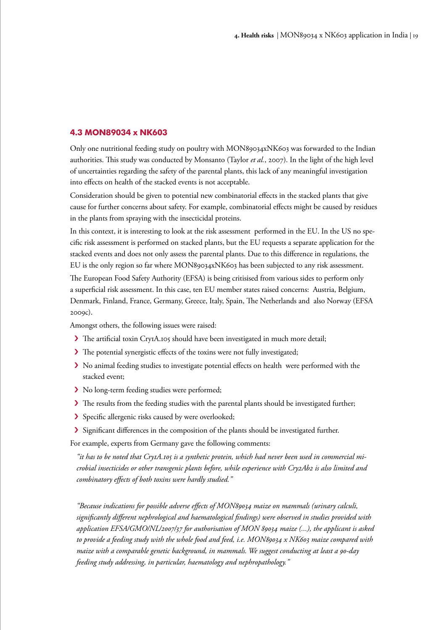### <span id="page-18-0"></span>**4.3 MON89034 x NK603**

Only one nutritional feeding study on poultry with MON89034xNK603 was forwarded to the Indian authorities. This study was conducted by Monsanto (Taylor *et al.*, 2007). In the light of the high level of uncertainties regarding the safety of the parental plants, this lack of any meaningful investigation into effects on health of the stacked events is not acceptable.

Consideration should be given to potential new combinatorial effects in the stacked plants that give cause for further concerns about safety. For example, combinatorial effects might be caused by residues in the plants from spraying with the insecticidal proteins.

In this context, it is interesting to look at the risk assessment performed in the EU. In the US no specific risk assessment is performed on stacked plants, but the EU requests a separate application for the stacked events and does not only assess the parental plants. Due to this difference in regulations, the EU is the only region so far where MON89034xNK603 has been subjected to any risk assessment.

The European Food Safety Authority (EFSA) is being critisised from various sides to perform only a superficial risk assessment. In this case, ten EU member states raised concerns: Austria, Belgium, Denmark, Finland, France, Germany, Greece, Italy, Spain, The Netherlands and also Norway (EFSA 2009c).

Amongst others, the following issues were raised:

- › The artificial toxin Cry1A.105 should have been investigated in much more detail;
- › The potential synergistic effects of the toxins were not fully investigated;
- › No animal feeding studies to investigate potential effects on health were performed with the stacked event;
- › No long-term feeding studies were performed;
- › The results from the feeding studies with the parental plants should be investigated further;
- › Specific allergenic risks caused by were overlooked;
- › Significant differences in the composition of the plants should be investigated further.

For example, experts from Germany gave the following comments:

*"it has to be noted that Cry1A.105 is a synthetic protein, which had never been used in commercial microbial insecticides or other transgenic plants before, while experience with Cry2Ab2 is also limited and combinatory effects of both toxins were hardly studied."* 

*"Because indications for possible adverse effects of MON89034 maize on mammals (urinary calculi, significantly different nephrological and haematological findings) were observed in studies provided with application EFSA/GMO/NL/2007/37 for authorisation of MON 89034 maize (...), the applicant is asked to provide a feeding study with the whole food and feed, i.e. MON89034 x NK603 maize compared with maize with a comparable genetic background, in mammals. We suggest conducting at least a 90-day feeding study addressing, in particular, haematology and nephropathology."*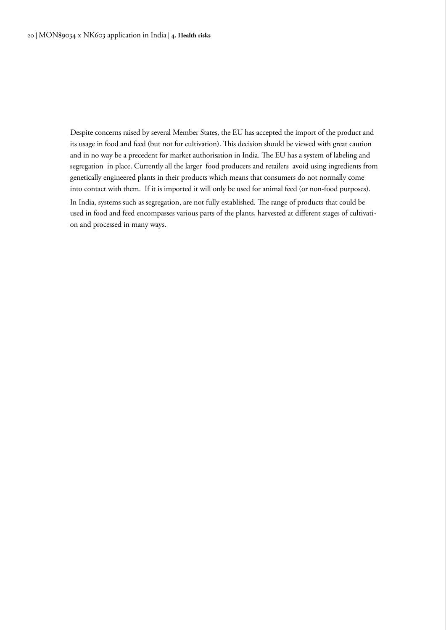Despite concerns raised by several Member States, the EU has accepted the import of the product and its usage in food and feed (but not for cultivation). This decision should be viewed with great caution and in no way be a precedent for market authorisation in India. The EU has a system of labeling and segregation in place. Currently all the larger food producers and retailers avoid using ingredients from genetically engineered plants in their products which means that consumers do not normally come into contact with them. If it is imported it will only be used for animal feed (or non-food purposes). In India, systems such as segregation, are not fully established. The range of products that could be

used in food and feed encompasses various parts of the plants, harvested at different stages of cultivation and processed in many ways.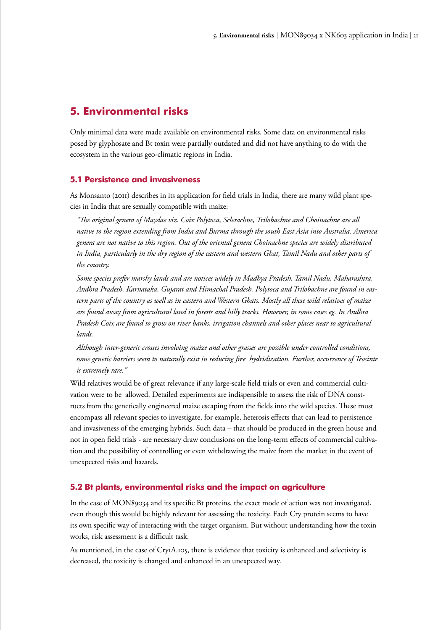## <span id="page-20-0"></span>**5. Environmental risks**

Only minimal data were made available on environmental risks. Some data on environmental risks posed by glyphosate and Bt toxin were partially outdated and did not have anything to do with the ecosystem in the various geo-climatic regions in India.

#### **5.1 Persistence and invasiveness**

As Monsanto (2011) describes in its application for field trials in India, there are many wild plant species in India that are sexually compatible with maize:

*"The original genera of Maydae viz. Coix Polytoca, Sclerachne, Trilobachne and Choinachne are all native to the region extending from India and Burma through the south East Asia into Australia. America genera are not native to this region. Out of the oriental genera Choinachne species are widely distributed in India, particularly in the dry region of the eastern and western Ghat, Tamil Nadu and other parts of the country.*

*Some species prefer marshy lands and are notices widely in Madhya Pradesh, Tamil Nadu, Maharashtra, Andhra Pradesh, Karnataka, Gujarat and Himachal Pradesh. Polytoca and Trilobachne are found in eastern parts of the country as well as in eastern and Western Ghats. Mostly all these wild relatives of maize are found away from agricultural land in forests and hilly tracks. However, in some cases eg. In Andhra Pradesh Coix are found to grow on river banks, irrigation channels and other places near to agricultural lands.*

*Although inter-generic crosses involving maize and other grasses are possible under controlled conditions, some genetic barriers seem to naturally exist in reducing free hydridization. Further, occurrence of Teosinte is extremely rare."*

Wild relatives would be of great relevance if any large-scale field trials or even and commercial cultivation were to be allowed. Detailed experiments are indispensible to assess the risk of DNA constructs from the genetically engineered maize escaping from the fields into the wild species. These must encompass all relevant species to investigate, for example, heterosis effects that can lead to persistence and invasiveness of the emerging hybrids. Such data – that should be produced in the green house and not in open field trials - are necessary draw conclusions on the long-term effects of commercial cultivation and the possibility of controlling or even withdrawing the maize from the market in the event of unexpected risks and hazards.

### **5.2 Bt plants, environmental risks and the impact on agriculture**

In the case of MON89034 and its specific Bt proteins, the exact mode of action was not investigated, even though this would be highly relevant for assessing the toxicity. Each Cry protein seems to have its own specific way of interacting with the target organism. But without understanding how the toxin works, risk assessment is a difficult task.

As mentioned, in the case of Cry1A.105, there is evidence that toxicity is enhanced and selectivity is decreased, the toxicity is changed and enhanced in an unexpected way.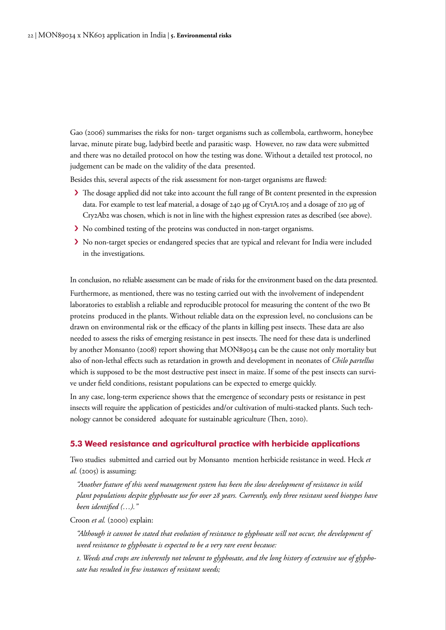<span id="page-21-0"></span>Gao (2006) summarises the risks for non- target organisms such as collembola, earthworm, honeybee larvae, minute pirate bug, ladybird beetle and parasitic wasp. However, no raw data were submitted and there was no detailed protocol on how the testing was done. Without a detailed test protocol, no judgement can be made on the validity of the data presented.

Besides this, several aspects of the risk assessment for non-target organisms are flawed:

- › The dosage applied did not take into account the full range of Bt content presented in the expression data. For example to test leaf material, a dosage of 240 µg of Cry1A.105 and a dosage of 210 µg of Cry2Ab2 was chosen, which is not in line with the highest expression rates as described (see above).
- › No combined testing of the proteins was conducted in non-target organisms.
- › No non-target species or endangered species that are typical and relevant for India were included in the investigations.

In conclusion, no reliable assessment can be made of risks for the environment based on the data presented. Furthermore, as mentioned, there was no testing carried out with the involvement of independent laboratories to establish a reliable and reproducible protocol for measuring the content of the two Bt proteins produced in the plants. Without reliable data on the expression level, no conclusions can be drawn on environmental risk or the efficacy of the plants in killing pest insects. These data are also needed to assess the risks of emerging resistance in pest insects. The need for these data is underlined by another Monsanto (2008) report showing that MON89034 can be the cause not only mortality but also of non-lethal effects such as retardation in growth and development in neonates of *Chilo partellus* which is supposed to be the most destructive pest insect in maize. If some of the pest insects can survive under field conditions, resistant populations can be expected to emerge quickly.

In any case, long-term experience shows that the emergence of secondary pests or resistance in pest insects will require the application of pesticides and/or cultivation of multi-stacked plants. Such technology cannot be considered adequate for sustainable agriculture (Then, 2010).

### **5.3 Weed resistance and agricultural practice with herbicide applications**

Two studies submitted and carried out by Monsanto mention herbicide resistance in weed. Heck *et al.* (2005) is assuming:

*"Another feature of this weed management system has been the slow development of resistance in wild plant populations despite glyphosate use for over 28 years. Currently, only three resistant weed biotypes have been identified (…)."* 

Croon *et al.* (2000) explain:

*"Although it cannot be stated that evolution of resistance to glyphosate will not occur, the development of weed resistance to glyphosate is expected to be a very rare event because:*

*1. Weeds and crops are inherently not tolerant to glyphosate, and the long history of extensive use of glyphosate has resulted in few instances of resistant weeds;*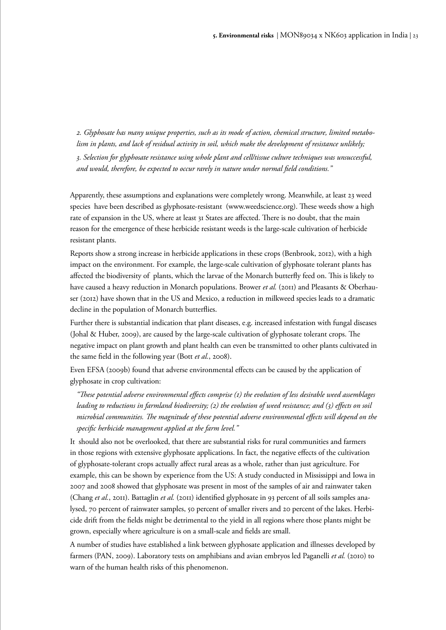*2. Glyphosate has many unique properties, such as its mode of action, chemical structure, limited metabolism in plants, and lack of residual activity in soil, which make the development of resistance unlikely; 3. Selection for glyphosate resistance using whole plant and cell/tissue culture techniques was unsuccessful, and would, therefore, be expected to occur rarely in nature under normal field conditions."* 

Apparently, these assumptions and explanations were completely wrong. Meanwhile, at least 23 weed species have been described as glyphosate-resistant (www.weedscience.org). These weeds show a high rate of expansion in the US, where at least 31 States are affected. There is no doubt, that the main reason for the emergence of these herbicide resistant weeds is the large-scale cultivation of herbicide resistant plants.

Reports show a strong increase in herbicide applications in these crops (Benbrook, 2012), with a high impact on the environment. For example, the large-scale cultivation of glyphosate tolerant plants has affected the biodiversity of plants, which the larvae of the Monarch butterfly feed on. This is likely to have caused a heavy reduction in Monarch populations. Brower *et al.* (2011) and Pleasants & Oberhauser (2012) have shown that in the US and Mexico, a reduction in milkweed species leads to a dramatic decline in the population of Monarch butterflies.

Further there is substantial indication that plant diseases, e.g. increased infestation with fungal diseases (Johal & Huber, 2009), are caused by the large-scale cultivation of glyphosate tolerant crops. The negative impact on plant growth and plant health can even be transmitted to other plants cultivated in the same field in the following year (Bott *et al.*, 2008).

Even EFSA (2009b) found that adverse environmental effects can be caused by the application of glyphosate in crop cultivation:

*"These potential adverse environmental effects comprise (1) the evolution of less desirable weed assemblages leading to reductions in farmland biodiversity; (2) the evolution of weed resistance; and (3) effects on soil microbial communities. The magnitude of these potential adverse environmental effects will depend on the specific herbicide management applied at the farm level."*

It should also not be overlooked, that there are substantial risks for rural communities and farmers in those regions with extensive glyphosate applications. In fact, the negative effects of the cultivation of glyphosate-tolerant crops actually affect rural areas as a whole, rather than just agriculture. For example, this can be shown by experience from the US: A study conducted in Mississippi and Iowa in 2007 and 2008 showed that glyphosate was present in most of the samples of air and rainwater taken (Chang *et al.*, 2011). Battaglin *et al.* (2011) identified glyphosate in 93 percent of all soils samples analysed, 70 percent of rainwater samples, 50 percent of smaller rivers and 20 percent of the lakes. Herbicide drift from the fields might be detrimental to the yield in all regions where those plants might be grown, especially where agriculture is on a small-scale and fields are small.

A number of studies have established a link between glyphosate application and illnesses developed by farmers (PAN, 2009). Laboratory tests on amphibians and avian embryos led Paganelli *et al.* (2010) to warn of the human health risks of this phenomenon.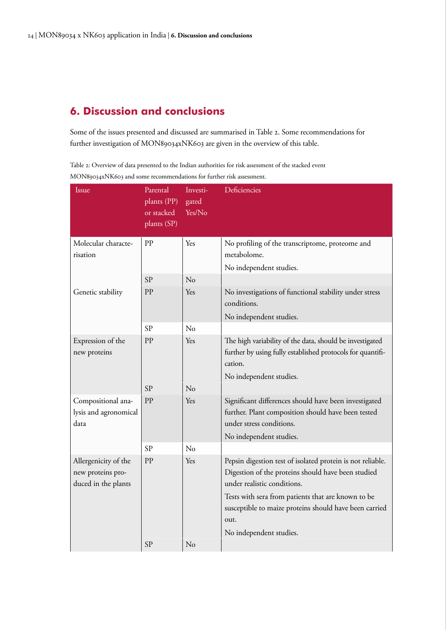# <span id="page-23-0"></span>**6. Discussion and conclusions**

Some of the issues presented and discussed are summarised in Table 2. Some recommendations for further investigation of MON89034xNK603 are given in the overview of this table.

Table 2: Overview of data presented to the Indian authorities for risk assessment of the stacked event MON89034xNK603 and some recommendations for further risk assessment.

| Issue                                                            | Parental<br>plants (PP)<br>or stacked<br>plants (SP) | Investi-<br>gated<br>Yes/No | Deficiencies                                                                                                                                                       |
|------------------------------------------------------------------|------------------------------------------------------|-----------------------------|--------------------------------------------------------------------------------------------------------------------------------------------------------------------|
| Molecular characte-<br>risation                                  | PP                                                   | Yes                         | No profiling of the transcriptome, proteome and<br>metabolome.<br>No independent studies.                                                                          |
|                                                                  | SP                                                   | N <sub>o</sub>              |                                                                                                                                                                    |
| Genetic stability                                                | <b>PP</b>                                            | Yes                         | No investigations of functional stability under stress<br>conditions.<br>No independent studies.                                                                   |
|                                                                  | <b>SP</b>                                            | No                          |                                                                                                                                                                    |
| Expression of the<br>new proteins                                | PP                                                   | Yes                         | The high variability of the data, should be investigated<br>further by using fully established protocols for quantifi-<br>cation.<br>No independent studies.       |
|                                                                  | <b>SP</b>                                            | $\rm No$                    |                                                                                                                                                                    |
| Compositional ana-<br>lysis and agronomical<br>data              | PP                                                   | Yes                         | Significant differences should have been investigated<br>further. Plant composition should have been tested<br>under stress conditions.<br>No independent studies. |
|                                                                  | SP                                                   | N <sub>o</sub>              |                                                                                                                                                                    |
| Allergenicity of the<br>new proteins pro-<br>duced in the plants | PP                                                   | Yes                         | Pepsin digestion test of isolated protein is not reliable.<br>Digestion of the proteins should have been studied<br>under realistic conditions.                    |
|                                                                  |                                                      |                             | Tests with sera from patients that are known to be<br>susceptible to maize proteins should have been carried<br>out.                                               |
|                                                                  |                                                      |                             | No independent studies.                                                                                                                                            |
|                                                                  | SP                                                   | No                          |                                                                                                                                                                    |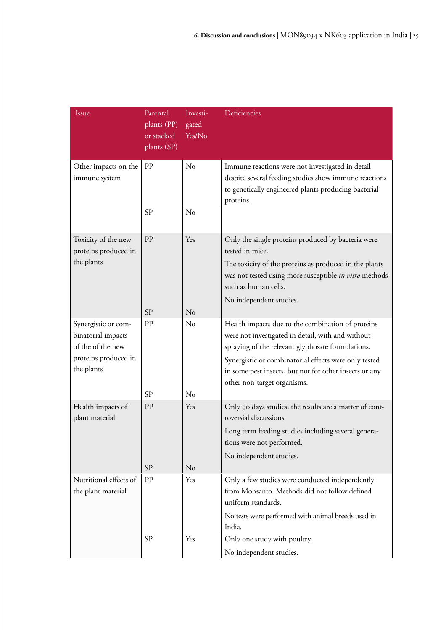| Issue                                                                                                | Parental<br>plants (PP)<br>or stacked<br>plants (SP) | Investi-<br>gated<br>Yes/No | Deficiencies                                                                                                                                                                                                                                                                                                  |
|------------------------------------------------------------------------------------------------------|------------------------------------------------------|-----------------------------|---------------------------------------------------------------------------------------------------------------------------------------------------------------------------------------------------------------------------------------------------------------------------------------------------------------|
| Other impacts on the<br>immune system                                                                | PP                                                   | No                          | Immune reactions were not investigated in detail<br>despite several feeding studies show immune reactions<br>to genetically engineered plants producing bacterial<br>proteins.                                                                                                                                |
|                                                                                                      | SP                                                   | N <sub>o</sub>              |                                                                                                                                                                                                                                                                                                               |
| Toxicity of the new<br>proteins produced in<br>the plants                                            | PP                                                   | Yes                         | Only the single proteins produced by bacteria were<br>tested in mice.<br>The toxicity of the proteins as produced in the plants<br>was not tested using more susceptible in vitro methods<br>such as human cells.<br>No independent studies.                                                                  |
|                                                                                                      | SP                                                   | No                          |                                                                                                                                                                                                                                                                                                               |
| Synergistic or com-<br>binatorial impacts<br>of the of the new<br>proteins produced in<br>the plants | PP                                                   | No                          | Health impacts due to the combination of proteins<br>were not investigated in detail, with and without<br>spraying of the relevant glyphosate formulations.<br>Synergistic or combinatorial effects were only tested<br>in some pest insects, but not for other insects or any<br>other non-target organisms. |
|                                                                                                      | <b>SP</b>                                            | No                          |                                                                                                                                                                                                                                                                                                               |
| Health impacts of<br>plant material                                                                  | PP                                                   | Yes                         | Only 90 days studies, the results are a matter of cont-<br>roversial discussions<br>Long term feeding studies including several genera-<br>tions were not performed.<br>No independent studies.                                                                                                               |
|                                                                                                      | SP                                                   | $\rm No$                    |                                                                                                                                                                                                                                                                                                               |
| Nutritional effects of<br>the plant material                                                         | PP                                                   | Yes                         | Only a few studies were conducted independently<br>from Monsanto. Methods did not follow defined<br>uniform standards.<br>No tests were performed with animal breeds used in<br>India.                                                                                                                        |
|                                                                                                      | SP                                                   | Yes                         | Only one study with poultry.<br>No independent studies.                                                                                                                                                                                                                                                       |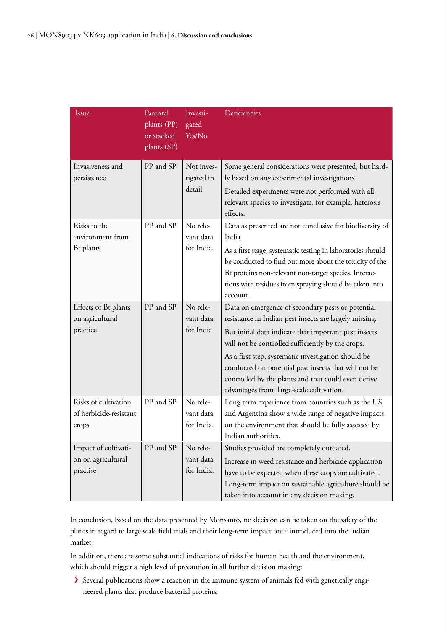| Issue                                                   | Parental<br>plants (PP)<br>or stacked<br>plants (SP) | Investi-<br>gated<br>Yes/No         | Deficiencies                                                                                                                                                                                                                                                                                                                                                                                                                                |
|---------------------------------------------------------|------------------------------------------------------|-------------------------------------|---------------------------------------------------------------------------------------------------------------------------------------------------------------------------------------------------------------------------------------------------------------------------------------------------------------------------------------------------------------------------------------------------------------------------------------------|
| Invasiveness and<br>persistence                         | PP and SP                                            | Not inves-<br>tigated in<br>detail  | Some general considerations were presented, but hard-<br>ly based on any experimental investigations<br>Detailed experiments were not performed with all<br>relevant species to investigate, for example, heterosis<br>effects.                                                                                                                                                                                                             |
| Risks to the<br>environment from<br>Bt plants           | PP and SP                                            | No rele-<br>vant data<br>for India. | Data as presented are not conclusive for biodiversity of<br>India.<br>As a first stage, systematic testing in laboratories should<br>be conducted to find out more about the toxicity of the<br>Bt proteins non-relevant non-target species. Interac-<br>tions with residues from spraying should be taken into<br>account.                                                                                                                 |
| Effects of Bt plants<br>on agricultural<br>practice     | PP and SP                                            | No rele-<br>vant data<br>for India  | Data on emergence of secondary pests or potential<br>resistance in Indian pest insects are largely missing.<br>But initial data indicate that important pest insects<br>will not be controlled sufficiently by the crops.<br>As a first step, systematic investigation should be<br>conducted on potential pest insects that will not be<br>controlled by the plants and that could even derive<br>advantages from large-scale cultivation. |
| Risks of cultivation<br>of herbicide-resistant<br>crops | PP and SP                                            | No rele-<br>vant data<br>for India. | Long term experience from countries such as the US<br>and Argentina show a wide range of negative impacts<br>on the environment that should be fully assessed by<br>Indian authorities.                                                                                                                                                                                                                                                     |
| Impact of cultivati-<br>on on agricultural<br>practise  | PP and SP                                            | No rele-<br>vant data<br>for India. | Studies provided are completely outdated.<br>Increase in weed resistance and herbicide application<br>have to be expected when these crops are cultivated.<br>Long-term impact on sustainable agriculture should be<br>taken into account in any decision making.                                                                                                                                                                           |

In conclusion, based on the data presented by Monsanto, no decision can be taken on the safety of the plants in regard to large scale field trials and their long-term impact once introduced into the Indian market.

In addition, there are some substantial indications of risks for human health and the environment, which should trigger a high level of precaution in all further decision making:

› Several publications show a reaction in the immune system of animals fed with genetically engineered plants that produce bacterial proteins.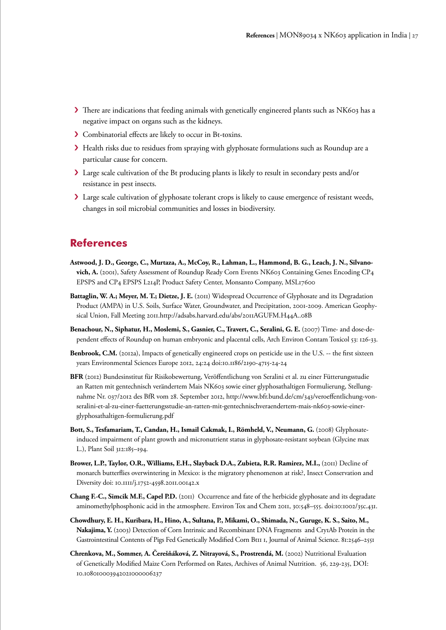- <span id="page-26-0"></span>> There are indications that feeding animals with genetically engineered plants such as NK603 has a negative impact on organs such as the kidneys.
- › Combinatorial effects are likely to occur in Bt-toxins.
- > Health risks due to residues from spraying with glyphosate formulations such as Roundup are a particular cause for concern.
- › Large scale cultivation of the Bt producing plants is likely to result in secondary pests and/or resistance in pest insects.
- > Large scale cultivation of glyphosate tolerant crops is likely to cause emergence of resistant weeds, changes in soil microbial communities and losses in biodiversity.

## **References**

- **Astwood, J. D., George, C., Murtaza, A., McCoy, R., Lahman, L., Hammond, B. G., Leach, J. N., Silvanovich, A.** (2001), Safety Assessment of Roundup Ready Corn Events NK603 Containing Genes Encoding CP4 EPSPS and CP4 EPSPS L214P, Product Safety Center, Monsanto Company, MSL17600
- **Battaglin, W. A.; Meyer, M. T.; Dietze, J. E.** (2011) Widespread Occurrence of Glyphosate and its Degradation Product (AMPA) in U.S. Soils, Surface Water, Groundwater, and Precipitation, 2001-2009. American Geophysical Union, Fall Meeting 2011.http://adsabs.harvard.edu/abs/2011AGUFM.H44A..08B
- **Benachour, N., Siphatur, H., Moslemi, S., Gasnier, C., Travert, C., Seralini, G. E.** (2007) Time- and dose-dependent effects of Roundup on human embryonic and placental cells, Arch Environ Contam Toxicol 53: 126-33.
- **Benbrook, C.M.** (2012a), Impacts of genetically engineered crops on pesticide use in the U.S. -- the first sixteen years Environmental Sciences Europe 2012, 24:24 doi:10.1186/2190-4715-24-24
- **BFR** (2012) Bundesinstitut für Risikobewertung, Veröffentlichung von Seralini et al. zu einer Fütterungsstudie an Ratten mit gentechnisch verändertem Mais NK603 sowie einer glyphosathaltigen Formulierung, Stellungnahme Nr. 037/2012 des BfR vom 28. September 2012, http://www.bfr.bund.de/cm/343/veroeffentlichung-vonseralini-et-al-zu-einer-fuetterungsstudie-an-ratten-mit-gentechnischveraendertem-mais-nk603-sowie-einerglyphosathaltigen-formulierung.pdf
- **Bott, S., Tesfamariam, T., Candan, H., Ismail Cakmak, I., Römheld, V., Neumann, G.** (2008) Glyphosateinduced impairment of plant growth and micronutrient status in glyphosate-resistant soybean (Glycine max L.), Plant Soil 312:185–194.
- **Brower, L.P., Taylor, O.R., Williams, E.H., Slayback D.A., Zubieta, R.R. Ramirez, M.I.,** (2011) Decline of monarch butterflies overwintering in Mexico: is the migratory phenomenon at risk?, Insect Conservation and Diversity doi: 10.1111/j.1752-4598.2011.00142.x
- **Chang F.-C., Simcik M.F., Capel P.D.** (2011) Occurrence and fate of the herbicide glyphosate and its degradate aminomethylphosphonic acid in the atmosphere. Environ Tox and Chem 2011, 30:548–555. doi:10:1002/35c.431.
- **Chowdhury, E. H., Kuribara, H., Hino, A., Sultana, P., Mikami, O., Shimada, N., Guruge, K. S., Saito, M., Nakajima, Y.** (2003) Detection of Corn Intrinsic and Recombinant DNA Fragments and Cry1Ab Protein in the Gastrointestinal Contents of Pigs Fed Genetically Modified Corn Bt11 1, Journal of Animal Science. 81:2546–2551
- **Chrenkova, M., Sommer, A. Čerešňáková, Z. Nitrayová, S., Prostrendá, M.** (2002) Nutritional Evaluation of Genetically Modified Maize Corn Performed on Rates, Archives of Animal Nutrition. 56, 229-235, DOI: 10.108010003942021000006237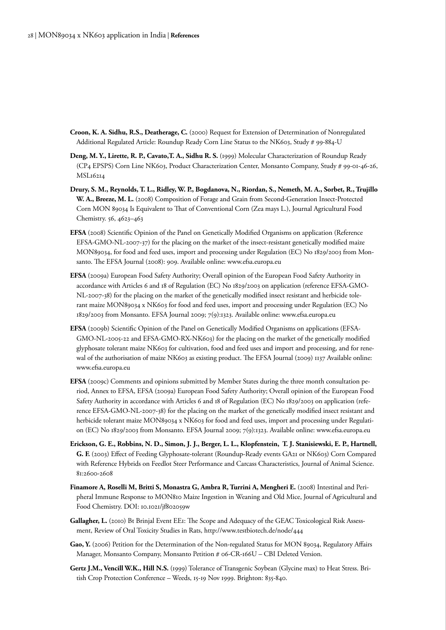- **Croon, K. A. Sidhu, R.S., Deatherage, C.** (2000) Request for Extension of Determination of Nonregulated Additional Regulated Article: Roundup Ready Corn Line Status to the NK603, Study # 99-884-U
- **Deng, M. Y., Lirette, R. P., Cavato,T. A., Sidhu R. S.** (1999) Molecular Characterization of Roundup Ready (CP4 EPSPS) Corn Line NK603, Product Characterization Center, Monsanto Company, Study # 99-01-46-26, MSL16214
- **Drury, S. M., Reynolds, T. L., Ridley, W. P., Bogdanova, N., Riordan, S., Nemeth, M. A., Sorbet, R., Trujillo W. A., Breeze, M. L.** (2008) Composition of Forage and Grain from Second-Generation Insect-Protected Corn MON 89034 Is Equivalent to That of Conventional Corn (Zea mays L.), Journal Agricultural Food Chemistry. 56, 4623–463
- **EFSA** (2008) Scientific Opinion of the Panel on Genetically Modified Organisms on application (Reference EFSA-GMO-NL-2007-37) for the placing on the market of the insect-resistant genetically modified maize MON89034, for food and feed uses, import and processing under Regulation (EC) No 1829/2003 from Monsanto. The EFSA Journal (2008): 909. Available online: www.efsa.europa.eu
- **EFSA** (2009a) European Food Safety Authority; Overall opinion of the European Food Safety Authority in accordance with Articles 6 and 18 of Regulation (EC) No 1829/2003 on application (reference EFSA-GMO-NL-2007-38) for the placing on the market of the genetically modified insect resistant and herbicide tolerant maize MON89034 x NK603 for food and feed uses, import and processing under Regulation (EC) No 1829/2003 from Monsanto. EFSA Journal 2009; 7(9):1323. Available online: www.efsa.europa.eu
- **EFSA** (2009b) Scientific Opinion of the Panel on Genetically Modified Organisms on applications (EFSA-GMO-NL-2005-22 and EFSA-GMO-RX-NK603) for the placing on the market of the genetically modified glyphosate tolerant maize NK603 for cultivation, food and feed uses and import and processing, and for renewal of the authorisation of maize NK603 as existing product. The EFSA Journal (2009) 1137 Available online: www.efsa.europa.eu
- **EFSA** (2009c) Comments and opinions submitted by Member States during the three month consultation period, Annex to EFSA, EFSA (2009a) European Food Safety Authority; Overall opinion of the European Food Safety Authority in accordance with Articles 6 and 18 of Regulation (EC) No 1829/2003 on application (reference EFSA-GMO-NL-2007-38) for the placing on the market of the genetically modified insect resistant and herbicide tolerant maize MON89034 x NK603 for food and feed uses, import and processing under Regulation (EC) No 1829/2003 from Monsanto. EFSA Journal 2009; 7(9):1323. Available online: www.efsa.europa.eu
- **Erickson, G. E., Robbins, N. D., Simon, J. J., Berger, L. L., Klopfenstein, T. J. Stanisiewski, E. P., Hartnell, G. F.** (2003) Effect of Feeding Glyphosate-tolerant (Roundup-Ready events GA21 or NK603) Corn Compared with Reference Hybrids on Feedlot Steer Performance and Carcass Characteristics, Journal of Animal Science. 81:2600-2608
- **Finamore A, Roselli M, Britti S, Monastra G, Ambra R, Turrini A, Mengheri E.** (2008) Intestinal and Peripheral Immune Response to MON810 Maize Ingestion in Weaning and Old Mice, Journal of Agricultural and Food Chemistry. DOI: 10.1021/jf802059w
- Gallagher, L. (2010) Bt Brinjal Event EE1: The Scope and Adequacy of the GEAC Toxicological Risk Assessment, Review of Oral Toxicity Studies in Rats, http://www.testbiotech.de/node/444
- **Gao, Y.** (2006) Petition for the Determination of the Non-regulated Status for MON 89034, Regulatory Affairs Manager, Monsanto Company, Monsanto Petition # 06-CR-166U – CBI Deleted Version.
- **Gertz J.M., Vencill W.K., Hill N.S.** (1999) Tolerance of Transgenic Soybean (Glycine max) to Heat Stress. British Crop Protection Conference – Weeds, 15-19 Nov 1999. Brighton: 835-840.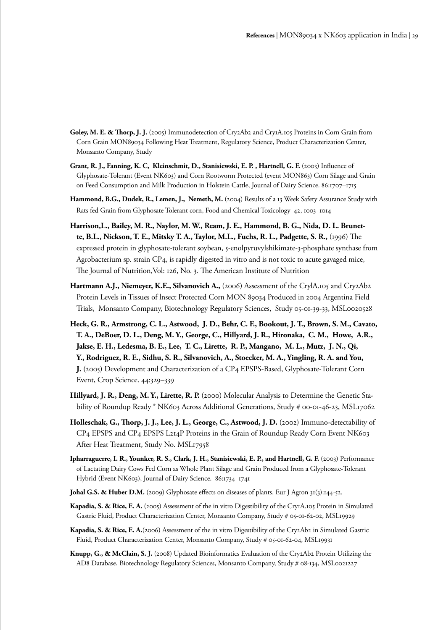- **Goley, M. E. & Thorp, J. J.** (2005) Immunodetection of Cry2Ab2 and Cry1A.105 Proteins in Corn Grain from Corn Grain MON89034 Following Heat Treatment, Regulatory Science, Product Characterization Center, Monsanto Company, Study
- **Grant, R. J., Fanning, K. C, Kleinschmit, D., Stanisiewski, E. P., Hartnell, G. F.** (2003) Influence of Glyphosate-Tolerant (Event NK603) and Corn Rootworm Protected (event MON863) Corn Silage and Grain on Feed Consumption and Milk Production in Holstein Cattle, Journal of Dairy Science. 86:1707–1715
- **Hammond, B.G., Dudek, R., Lemen, J., Nemeth, M.** (2004) Results of a 13 Week Safety Assurance Study with Rats fed Grain from Glyphosate Tolerant corn, Food and Chemical Toxicology 42, 1003–1014
- **Harrison,L., Bailey, M. R., Naylor, M. W., Ream, J. E., Hammond, B. G., Nida, D. L. Brunette, B.L., Nickson, T. E., Mitsky T. A., Taylor, M.L., Fuchs, R. L., Padgette, S. R.,** (1996) The expressed protein in glyphosate-tolerant soybean, 5-enolpyruvylshikimate-3-phosphate synthase from Agrobacterium sp. strain CP4, is rapidly digested in vitro and is not toxic to acute gavaged mice, The Journal of Nutrition,Vol: 126, No. 3. The American Institute of Nutrition
- **Hartmann A.J., Niemeyer, K.E., Silvanovich A.,** (2006) Assessment of the CrylA.105 and Cry2Ab2 Protein Levels in Tissues of lnsect Protected Corn MON 89034 Produced in 2004 Argentina Field Trials, Monsanto Company, Biotechnology Regulatory Sciences, Study 05-01-39-33, MSL0020528
- **Heck, G. R., Armstrong, C. L., Astwood, J. D., Behr, C. F., Bookout, J. T., Brown, S. M., Cavato, T. A., DeBoer, D. L., Deng, M. Y., George, C., Hillyard, J. R., Hironaka, C. M., Howe, A.R., Jakse, E. H., Ledesma, B. E., Lee, T. C., Lirette, R. P., Mangano, M. L., Mutz, J. N., Qi, Y., Rodriguez, R. E., Sidhu, S. R., Silvanovich, A., Stoecker, M. A., Yingling, R. A. and You, J.** (2005) Development and Characterization of a CP4 EPSPS-Based, Glyphosate-Tolerant Corn Event, Crop Science. 44:329–339
- **Hillyard, J. R., Deng, M. Y., Lirette, R. P.** (2000) Molecular Analysis to Determine the Genetic Stability of Roundup Ready ® NK603 Across Additional Generations, Study # 00-01-46-23, MSL17062
- Holleschak, G., Thorp, J. J., Lee, J. L., George, C., Astwood, J. D. (2002) Immuno-detectability of CP4 EPSPS and CP4 EPSPS L214P Proteins in the Grain of Roundup Ready Corn Event NK603 After Heat Treatment, Study No. MSL17958
- **Ipharraguerre, I. R., Younker, R. S., Clark, J. H., Stanisiewski, E. P., and Hartnell, G. F.** (2003) Performance of Lactating Dairy Cows Fed Corn as Whole Plant Silage and Grain Produced from a Glyphosate-Tolerant Hybrid (Event NK603), Journal of Dairy Science. 86:1734–1741
- **Johal G.S. & Huber D.M.** (2009) Glyphosate effects on diseases of plants. Eur J Agron 31(3):144-52.
- **Kapadia, S. & Rice, E. A.** (2005) Assessment of the in vitro Digestibility of the Cry1A.105 Protein in Simulated Gastric Fluid, Product Characterization Center, Monsanto Company, Study # 05-01-62-02, MSL19929
- **Kapadia, S. & Rice, E. A.**(2006) Assessment of the in vitro Digestibility of the Cry2Ab2 in Simulated Gastric Fluid, Product Characterization Center, Monsanto Company, Study # 05-01-62-04, MSL19931
- **Knupp, G., & McClain, S. J.** (2008) Updated Bioinformatics Evaluation of the Cry2Ab2 Protein Utilizing the AD8 Database, Biotechnology Regulatory Sciences, Monsanto Company, Study # 08-134, MSL0021227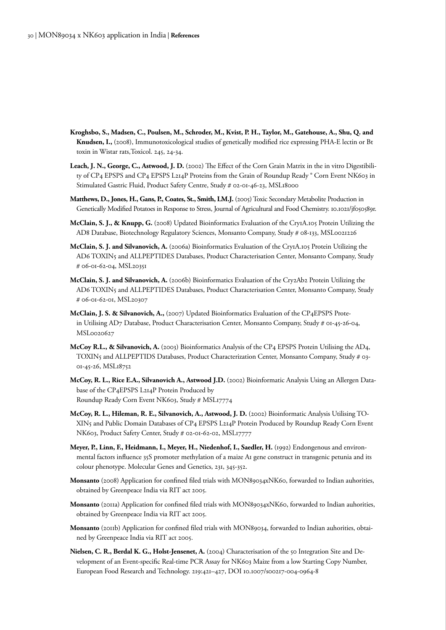- **Kroghsbo, S., Madsen, C., Poulsen, M., Schroder, M., Kvist, P. H., Taylor, M., Gatehouse, A., Shu, Q. and Knudsen, I.,** (2008), Immunotoxicological studies of genetically modified rice expressing PHA-E lectin or Bt toxin in Wistar rats,Toxicol. 245, 24-34.
- **Leach, J. N., George, C., Astwood, J. D.** (2002) The Effect of the Corn Grain Matrix in the in vitro Digestibility of CP4 EPSPS and CP4 EPSPS L214P Proteins from the Grain of Roundup Ready ® Corn Event NK603 in Stimulated Gastric Fluid, Product Safety Centre, Study # 02-01-46-23, MSL18000
- **Matthews, D., Jones, H., Gans, P., Coates, St., Smith, LM.J.** (2005) Toxic Secondary Metabolite Production in Genetically Modified Potatoes in Response to Stress, Journal of Agricultural and Food Chemistry. 10.1021/jf050589r.
- **McClain, S. J., & Knupp, G.** (2008) Updated Bioinformatics Evaluation of the Cry1A.105 Protein Utilizing the AD8 Database, Biotechnology Regulatory Sciences, Monsanto Company, Study # 08-133, MSL0021226
- **McClain, S. J. and Silvanovich, A.** (2006a) Bioinformatics Evaluation of the Cry1A.105 Protein Utilizing the AD6 TOXIN5 and ALLPEPTIDES Databases, Product Characterisation Center, Monsanto Company, Study # 06-01-62-04, MSL20351
- **McClain, S. J. and Silvanovich, A.** (2006b) Bioinformatics Evaluation of the Cry2Ab2 Protein Utilizing the AD6 TOXIN5 and ALLPEPTIDES Databases, Product Characterisation Center, Monsanto Company, Study # 06-01-62-01, MSL20307
- **McClain, J. S. & Silvanovich, A.,** (2007) Updated Bioinformatics Evaluation of the CP4EPSPS Protein Utilising AD7 Database, Product Characterisation Center, Monsanto Company, Study # 01-45-26-04, MSL0020627
- **McCoy R.L., & Silvanovich, A.** (2003) Bioinformatics Analysis of the CP4 EPSPS Protein Utilising the AD4, TOXIN5 and ALLPEPTIDS Databases, Product Characterization Center, Monsanto Company, Study # 03- 01-45-26, MSL18752
- **McCoy, R. L., Rice E.A., Silvanovich A., Astwood J.D.** (2002) Bioinformatic Analysis Using an Allergen Database of the CP4EPSPS L214P Protein Produced by Roundup Ready Corn Event NK603, Study # MSL17774
- **McCoy, R. L., Hileman, R. E., Silvanovich, A., Astwood, J. D.** (2002) Bioinformatic Analysis Utilising TO-XIN5 and Public Domain Databases of CP4 EPSPS L214P Protein Produced by Roundup Ready Corn Event NK603, Product Safety Center, Study # 02-01-62-02, MSL17777
- **Meyer, P., Linn, F., Heidmann, I., Meyer, H., Niedenhof, I., Saedler, H.** (1992) Endongenous and environmental factors influence 35S promoter methylation of a maize A1 gene construct in transgenic petunia and its colour phenotype. Molecular Genes and Genetics, 231, 345-352.
- **Monsanto** (2008) Application for confined filed trials with MON89034xNK60, forwarded to Indian auhorities, obtained by Greenpeace India via RIT act 2005.
- **Monsanto** (2011a) Application for confined filed trials with MON89034xNK60, forwarded to Indian auhorities, obtained by Greenpeace India via RIT act 2005.
- **Monsanto** (2011b) Application for confined filed trials with MON89034, forwarded to Indian auhorities, obtained by Greenpeace India via RIT act 2005.
- **Nielsen, C. R., Berdal K. G., Holst-Jensenet, A.** (2004) Characterisation of the 50 Integration Site and Development of an Event-specific Real-time PCR Assay for NK603 Maize from a low Starting Copy Number, European Food Research and Technology. 219:421–427, DOI 10.1007/s00217-004-0964-8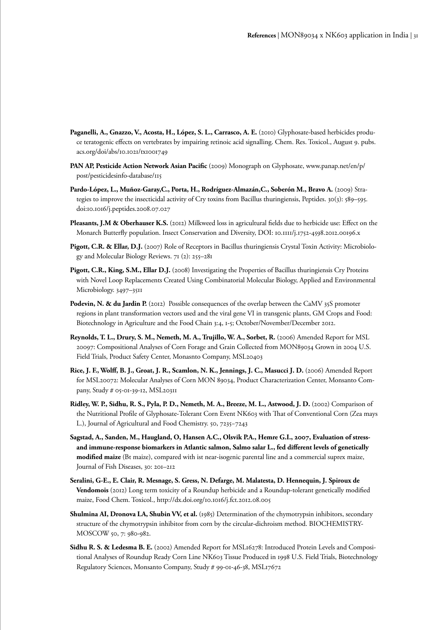- Paganelli, A., Gnazzo, V., Acosta, H., López, S. L., Carrasco, A. E. (2010) Glyphosate-based herbicides produce teratogenic effects on vertebrates by impairing retinoic acid signalling. Chem. Res. Toxicol., August 9. pubs. acs.org/doi/abs/10.1021/tx1001749
- **PAN AP, Pesticide Action Network Asian Pacific** (2009) Monograph on Glyphosate, www.panap.net/en/p/ post/pesticidesinfo-database/115
- Pardo-López, L., Muñoz-Garay,C., Porta, H., Rodríguez-Almazán,C., Soberón M., Bravo A. (2009) Strategies to improve the insecticidal activity of Cry toxins from Bacillus thuringiensis, Peptides. 30(3): 589–595. doi:10.1016/j.peptides.2008.07.027
- **Pleasants, J.M & Oberhauser K.S.** (2012) Milkweed loss in agricultural fields due to herbicide use: Effect on the Monarch Butterfly population. Insect Conservation and Diversity, DOI: 10.1111/j.1752-4598.2012.00196.x
- **Pigott, C.R. & Ellar, D.J.** (2007) Role of Receptors in Bacillus thuringiensis Crystal Toxin Activity: Microbiology and Molecular Biology Reviews. 71 (2): 255–281
- **Pigott, C.R., King, S.M., Ellar D.J.** (2008) Investigating the Properties of Bacillus thuringiensis Cry Proteins with Novel Loop Replacements Created Using Combinatorial Molecular Biology, Applied and Environmental Microbiology. 3497–3511
- **Podevin, N. & du Jardin P.** (2012) Possible consequences of the overlap between the CaMV 35S promoter regions in plant transformation vectors used and the viral gene VI in transgenic plants, GM Crops and Food: Biotechnology in Agriculture and the Food Chain 3:4, 1-5; October/November/December 2012.
- **Reynolds, T. L., Drury, S. M., Nemeth, M. A., Trujillo, W. A., Sorbet, R.** (2006) Amended Report for MSL 20097: Compositional Analyses of Corn Forage and Grain Collected from MON89034 Grown in 2004 U.S. Field Trials, Product Safety Center, Monasnto Company, MSL20403
- **Rice, J. F., Wolff, B. J., Groat, J. R., Scamlon, N. K., Jennings, J. C., Masucci J. D.** (2006) Amended Report for MSL20072: Molecular Analyses of Corn MON 89034, Product Characterization Center, Monsanto Company, Study # 05-01-39-12, MSL20311
- **Ridley, W. P., Sidhu, R. S., Pyla, P. D., Nemeth, M. A., Breeze, M. L., Astwood, J. D.** (2002) Comparison of the Nutritional Profile of Glyphosate-Tolerant Corn Event NK603 with That of Conventional Corn (Zea mays L.), Journal of Agricultural and Food Chemistry. 50, 7235−7243
- **Sagstad, A., Sanden, M., Haugland, O, Hansen A.C., Olsvik P.A., Hemre G.I., 2007, Evaluation of stressand immune-response biomarkers in Atlantic salmon, Salmo salar L., fed different levels of genetically modified maize** (Bt maize), compared with ist near-isogenic parental line and a commercial suprex maize, Journal of Fish Diseases, 30: 201–212
- **Seralini, G-E., E. Clair, R. Mesnage, S. Gress, N. Defarge, M. Malatesta, D. Hennequin, J. Spiroux de Vendomois** (2012) Long term toxicity of a Roundup herbicide and a Roundup-tolerant genetically modified maize, Food Chem. Toxicol., http://dx.doi.org/10.1016/j.fct.2012.08.005
- **Shulmina AI, Dronova LA, Shubin VV, et al.** (1985) Determination of the chymotrypsin inhibitors, secondary structure of the chymotrypsin inhibitor from corn by the circular-dichroism method. BIOCHEMISTRY-MOSCOW 50, 7: 980-982.
- **Sidhu R. S. & Ledesma B. E.** (2002) Amended Report for MSL16278: Introduced Protein Levels and Compositional Analyses of Roundup Ready Corn Line NK603 Tissue Produced in 1998 U.S. Field Trials, Biotechnology Regulatory Sciences, Monsanto Company, Study # 99-01-46-38, MSL17672